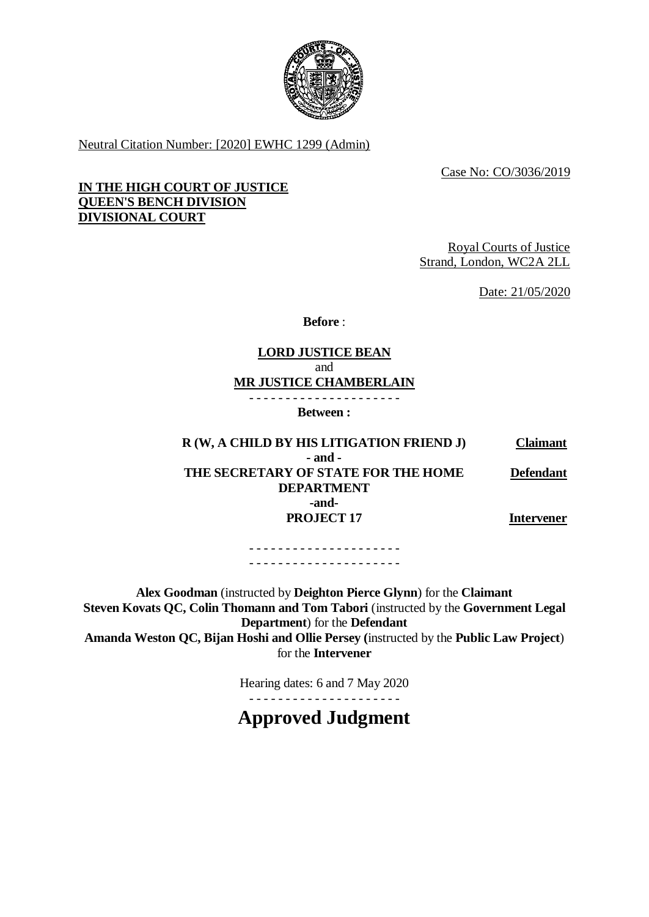

Neutral Citation Number: [2020] EWHC 1299 (Admin)

Case No: CO/3036/2019

# **IN THE HIGH COURT OF JUSTICE QUEEN'S BENCH DIVISION DIVISIONAL COURT**

Royal Courts of Justice Strand, London, WC2A 2LL

Date: 21/05/2020

**Before** :

# **LORD JUSTICE BEAN** and **MR JUSTICE CHAMBERLAIN**

- - - - - - - - - - - - - - - - - - - - - **Between :**

**R (W, A CHILD BY HIS LITIGATION FRIEND J) Claimant - and - THE SECRETARY OF STATE FOR THE HOME DEPARTMENT -and-PROJECT 17 Defendant Intervener**

> - - - - - - - - - - - - - - - - - - - - - - - - - - - - - - - - - - - - - - - - - -

**Alex Goodman** (instructed by **Deighton Pierce Glynn**) for the **Claimant Steven Kovats QC, Colin Thomann and Tom Tabori** (instructed by the **Government Legal Department**) for the **Defendant Amanda Weston QC, Bijan Hoshi and Ollie Persey (**instructed by the **Public Law Project**) for the **Intervener**

Hearing dates: 6 and 7 May 2020

- - - - - - - - - - - - - - - - - - - - -

**Approved Judgment**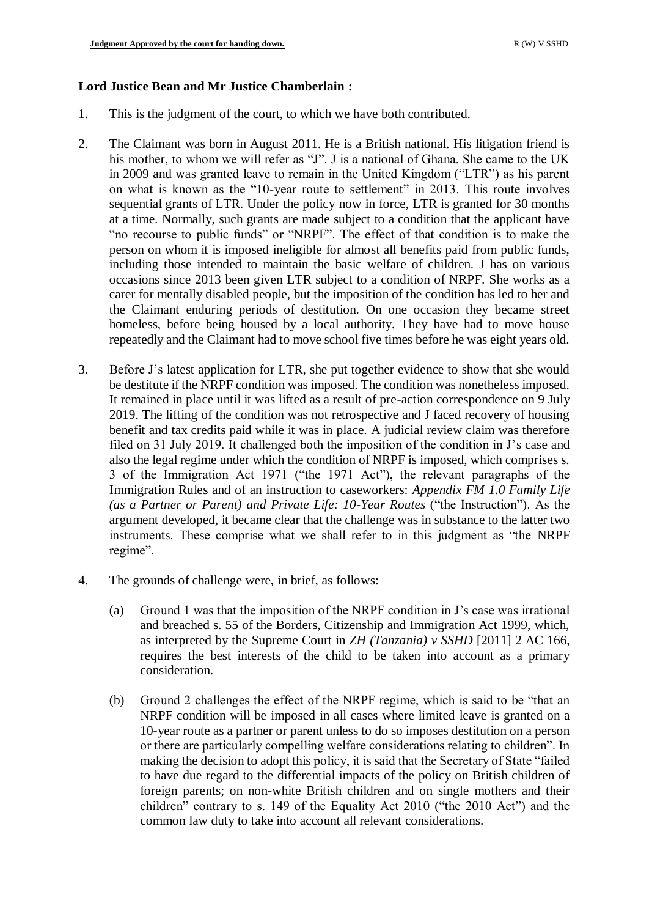### **Lord Justice Bean and Mr Justice Chamberlain :**

- 1. This is the judgment of the court, to which we have both contributed.
- 2. The Claimant was born in August 2011. He is a British national. His litigation friend is his mother, to whom we will refer as "J". J is a national of Ghana. She came to the UK in 2009 and was granted leave to remain in the United Kingdom ("LTR") as his parent on what is known as the "10-year route to settlement" in 2013. This route involves sequential grants of LTR. Under the policy now in force, LTR is granted for 30 months at a time. Normally, such grants are made subject to a condition that the applicant have "no recourse to public funds" or "NRPF". The effect of that condition is to make the person on whom it is imposed ineligible for almost all benefits paid from public funds, including those intended to maintain the basic welfare of children. J has on various occasions since 2013 been given LTR subject to a condition of NRPF. She works as a carer for mentally disabled people, but the imposition of the condition has led to her and the Claimant enduring periods of destitution. On one occasion they became street homeless, before being housed by a local authority. They have had to move house repeatedly and the Claimant had to move school five times before he was eight years old.
- 3. Before J's latest application for LTR, she put together evidence to show that she would be destitute if the NRPF condition was imposed. The condition was nonetheless imposed. It remained in place until it was lifted as a result of pre-action correspondence on 9 July 2019. The lifting of the condition was not retrospective and J faced recovery of housing benefit and tax credits paid while it was in place. A judicial review claim was therefore filed on 31 July 2019. It challenged both the imposition of the condition in J's case and also the legal regime under which the condition of NRPF is imposed, which comprises s. 3 of the Immigration Act 1971 ("the 1971 Act"), the relevant paragraphs of the Immigration Rules and of an instruction to caseworkers: *Appendix FM 1.0 Family Life (as a Partner or Parent) and Private Life: 10-Year Routes* ("the Instruction"). As the argument developed, it became clear that the challenge was in substance to the latter two instruments. These comprise what we shall refer to in this judgment as "the NRPF regime".
- 4. The grounds of challenge were, in brief, as follows:
	- (a) Ground 1 was that the imposition of the NRPF condition in J's case was irrational and breached s. 55 of the Borders, Citizenship and Immigration Act 1999, which, as interpreted by the Supreme Court in *ZH (Tanzania) v SSHD* [2011] 2 AC 166, requires the best interests of the child to be taken into account as a primary consideration.
	- (b) Ground 2 challenges the effect of the NRPF regime, which is said to be "that an NRPF condition will be imposed in all cases where limited leave is granted on a 10-year route as a partner or parent unless to do so imposes destitution on a person or there are particularly compelling welfare considerations relating to children". In making the decision to adopt this policy, it is said that the Secretary of State "failed to have due regard to the differential impacts of the policy on British children of foreign parents; on non-white British children and on single mothers and their children" contrary to s. 149 of the Equality Act 2010 ("the 2010 Act") and the common law duty to take into account all relevant considerations.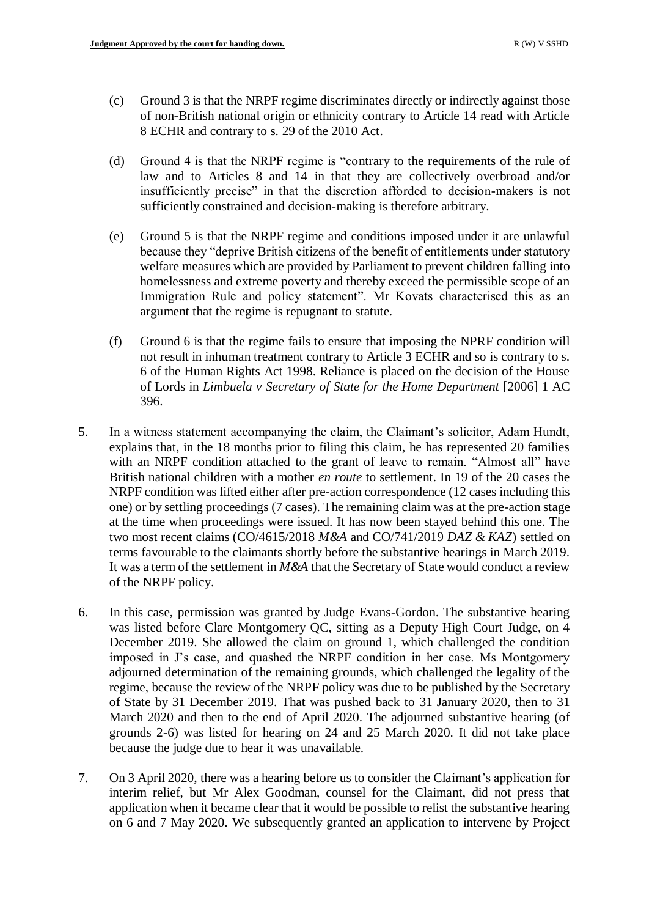- (c) Ground 3 is that the NRPF regime discriminates directly or indirectly against those of non-British national origin or ethnicity contrary to Article 14 read with Article 8 ECHR and contrary to s. 29 of the 2010 Act.
- (d) Ground 4 is that the NRPF regime is "contrary to the requirements of the rule of law and to Articles 8 and 14 in that they are collectively overbroad and/or insufficiently precise" in that the discretion afforded to decision-makers is not sufficiently constrained and decision-making is therefore arbitrary.
- (e) Ground 5 is that the NRPF regime and conditions imposed under it are unlawful because they "deprive British citizens of the benefit of entitlements under statutory welfare measures which are provided by Parliament to prevent children falling into homelessness and extreme poverty and thereby exceed the permissible scope of an Immigration Rule and policy statement". Mr Kovats characterised this as an argument that the regime is repugnant to statute.
- (f) Ground 6 is that the regime fails to ensure that imposing the NPRF condition will not result in inhuman treatment contrary to Article 3 ECHR and so is contrary to s. 6 of the Human Rights Act 1998. Reliance is placed on the decision of the House of Lords in *Limbuela v Secretary of State for the Home Department* [2006] 1 AC 396.
- 5. In a witness statement accompanying the claim, the Claimant's solicitor, Adam Hundt, explains that, in the 18 months prior to filing this claim, he has represented 20 families with an NRPF condition attached to the grant of leave to remain. "Almost all" have British national children with a mother *en route* to settlement. In 19 of the 20 cases the NRPF condition was lifted either after pre-action correspondence (12 cases including this one) or by settling proceedings (7 cases). The remaining claim was at the pre-action stage at the time when proceedings were issued. It has now been stayed behind this one. The two most recent claims (CO/4615/2018 *M&A* and CO/741/2019 *DAZ & KAZ*) settled on terms favourable to the claimants shortly before the substantive hearings in March 2019. It was a term of the settlement in *M&A* that the Secretary of State would conduct a review of the NRPF policy.
- 6. In this case, permission was granted by Judge Evans-Gordon. The substantive hearing was listed before Clare Montgomery QC, sitting as a Deputy High Court Judge, on 4 December 2019. She allowed the claim on ground 1, which challenged the condition imposed in J's case, and quashed the NRPF condition in her case. Ms Montgomery adjourned determination of the remaining grounds, which challenged the legality of the regime, because the review of the NRPF policy was due to be published by the Secretary of State by 31 December 2019. That was pushed back to 31 January 2020, then to 31 March 2020 and then to the end of April 2020. The adjourned substantive hearing (of grounds 2-6) was listed for hearing on 24 and 25 March 2020. It did not take place because the judge due to hear it was unavailable.
- 7. On 3 April 2020, there was a hearing before us to consider the Claimant's application for interim relief, but Mr Alex Goodman, counsel for the Claimant, did not press that application when it became clear that it would be possible to relist the substantive hearing on 6 and 7 May 2020. We subsequently granted an application to intervene by Project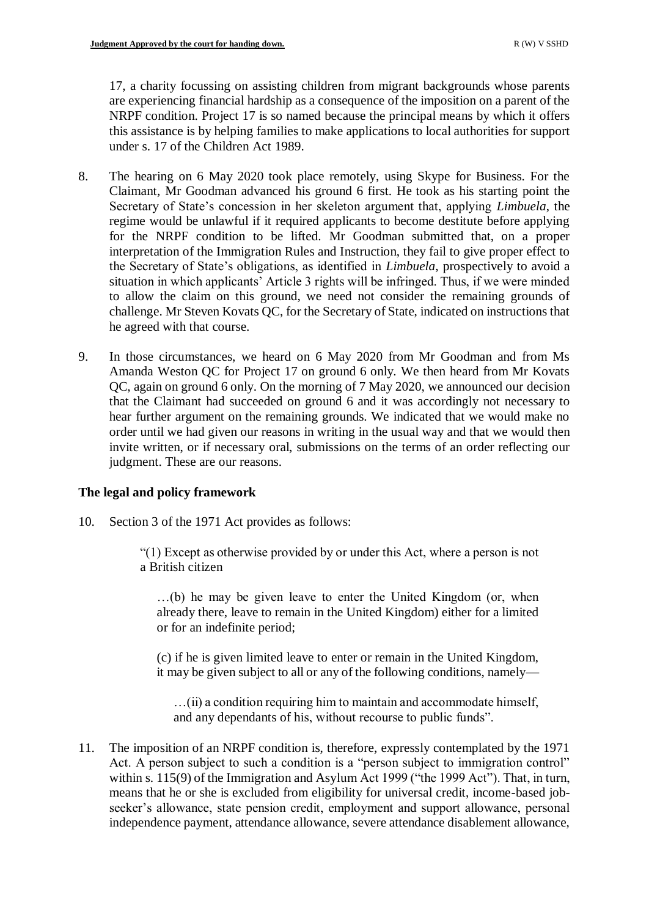17, a charity focussing on assisting children from migrant backgrounds whose parents are experiencing financial hardship as a consequence of the imposition on a parent of the NRPF condition. Project 17 is so named because the principal means by which it offers this assistance is by helping families to make applications to local authorities for support under s. 17 of the Children Act 1989.

- 8. The hearing on 6 May 2020 took place remotely, using Skype for Business. For the Claimant, Mr Goodman advanced his ground 6 first. He took as his starting point the Secretary of State's concession in her skeleton argument that, applying *Limbuela*, the regime would be unlawful if it required applicants to become destitute before applying for the NRPF condition to be lifted. Mr Goodman submitted that, on a proper interpretation of the Immigration Rules and Instruction, they fail to give proper effect to the Secretary of State's obligations, as identified in *Limbuela*, prospectively to avoid a situation in which applicants' Article 3 rights will be infringed. Thus, if we were minded to allow the claim on this ground, we need not consider the remaining grounds of challenge. Mr Steven Kovats QC, for the Secretary of State, indicated on instructions that he agreed with that course.
- 9. In those circumstances, we heard on 6 May 2020 from Mr Goodman and from Ms Amanda Weston QC for Project 17 on ground 6 only. We then heard from Mr Kovats QC, again on ground 6 only. On the morning of 7 May 2020, we announced our decision that the Claimant had succeeded on ground 6 and it was accordingly not necessary to hear further argument on the remaining grounds. We indicated that we would make no order until we had given our reasons in writing in the usual way and that we would then invite written, or if necessary oral, submissions on the terms of an order reflecting our judgment. These are our reasons.

# **The legal and policy framework**

10. Section 3 of the 1971 Act provides as follows:

"(1) Except as otherwise provided by or under this Act, where a person is not a British citizen

…(b) he may be given leave to enter the United Kingdom (or, when already there, leave to remain in the United Kingdom) either for a limited or for an indefinite period;

(c) if he is given limited leave to enter or remain in the United Kingdom, it may be given subject to all or any of the following conditions, namely—

…(ii) a condition requiring him to maintain and accommodate himself, and any dependants of his, without recourse to public funds".

11. The imposition of an NRPF condition is, therefore, expressly contemplated by the 1971 Act. A person subject to such a condition is a "person subject to immigration control" within s. 115(9) of the Immigration and Asylum Act 1999 ("the 1999 Act"). That, in turn, means that he or she is excluded from eligibility for universal credit, income-based jobseeker's allowance, state pension credit, employment and support allowance, personal independence payment, attendance allowance, severe attendance disablement allowance,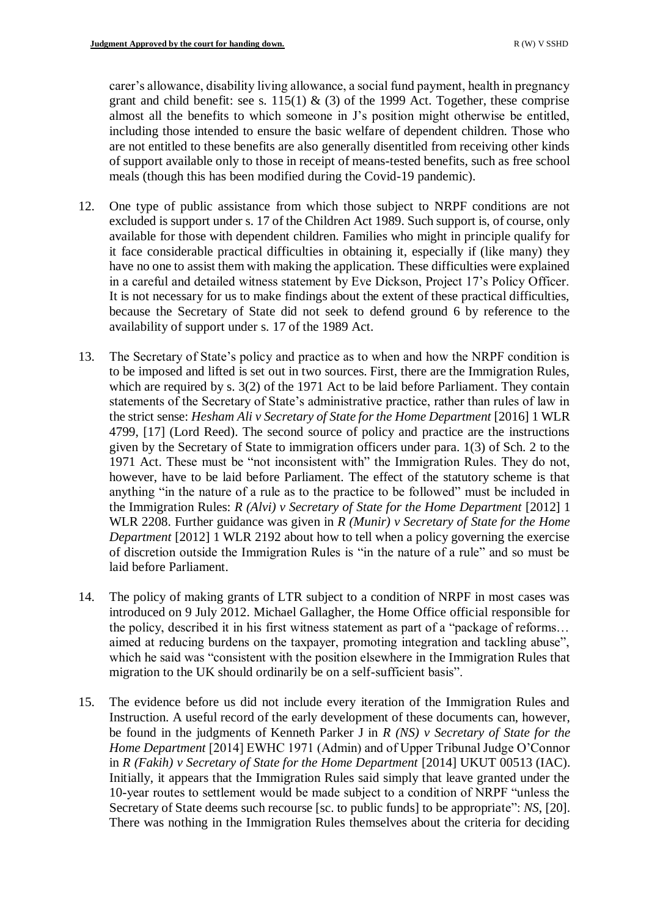carer's allowance, disability living allowance, a social fund payment, health in pregnancy grant and child benefit: see s. 115(1)  $\&$  (3) of the 1999 Act. Together, these comprise almost all the benefits to which someone in J's position might otherwise be entitled, including those intended to ensure the basic welfare of dependent children. Those who are not entitled to these benefits are also generally disentitled from receiving other kinds of support available only to those in receipt of means-tested benefits, such as free school meals (though this has been modified during the Covid-19 pandemic).

- 12. One type of public assistance from which those subject to NRPF conditions are not excluded is support under s. 17 of the Children Act 1989. Such support is, of course, only available for those with dependent children. Families who might in principle qualify for it face considerable practical difficulties in obtaining it, especially if (like many) they have no one to assist them with making the application. These difficulties were explained in a careful and detailed witness statement by Eve Dickson, Project 17's Policy Officer. It is not necessary for us to make findings about the extent of these practical difficulties, because the Secretary of State did not seek to defend ground 6 by reference to the availability of support under s. 17 of the 1989 Act.
- 13. The Secretary of State's policy and practice as to when and how the NRPF condition is to be imposed and lifted is set out in two sources. First, there are the Immigration Rules, which are required by s. 3(2) of the 1971 Act to be laid before Parliament. They contain statements of the Secretary of State's administrative practice, rather than rules of law in the strict sense: *Hesham Ali v Secretary of State for the Home Department* [2016] 1 WLR 4799, [17] (Lord Reed). The second source of policy and practice are the instructions given by the Secretary of State to immigration officers under para. 1(3) of Sch. 2 to the 1971 Act. These must be "not inconsistent with" the Immigration Rules. They do not, however, have to be laid before Parliament. The effect of the statutory scheme is that anything "in the nature of a rule as to the practice to be followed" must be included in the Immigration Rules: *R (Alvi) v Secretary of State for the Home Department* [2012] 1 WLR 2208. Further guidance was given in *R (Munir) v Secretary of State for the Home Department* [2012] 1 WLR 2192 about how to tell when a policy governing the exercise of discretion outside the Immigration Rules is "in the nature of a rule" and so must be laid before Parliament.
- 14. The policy of making grants of LTR subject to a condition of NRPF in most cases was introduced on 9 July 2012. Michael Gallagher, the Home Office official responsible for the policy, described it in his first witness statement as part of a "package of reforms… aimed at reducing burdens on the taxpayer, promoting integration and tackling abuse", which he said was "consistent with the position elsewhere in the Immigration Rules that migration to the UK should ordinarily be on a self-sufficient basis".
- 15. The evidence before us did not include every iteration of the Immigration Rules and Instruction. A useful record of the early development of these documents can, however, be found in the judgments of Kenneth Parker J in *R (NS) v Secretary of State for the Home Department* [2014] EWHC 1971 (Admin) and of Upper Tribunal Judge O'Connor in *R (Fakih) v Secretary of State for the Home Department* [2014] UKUT 00513 (IAC). Initially, it appears that the Immigration Rules said simply that leave granted under the 10-year routes to settlement would be made subject to a condition of NRPF "unless the Secretary of State deems such recourse [sc. to public funds] to be appropriate": *NS*, [20]. There was nothing in the Immigration Rules themselves about the criteria for deciding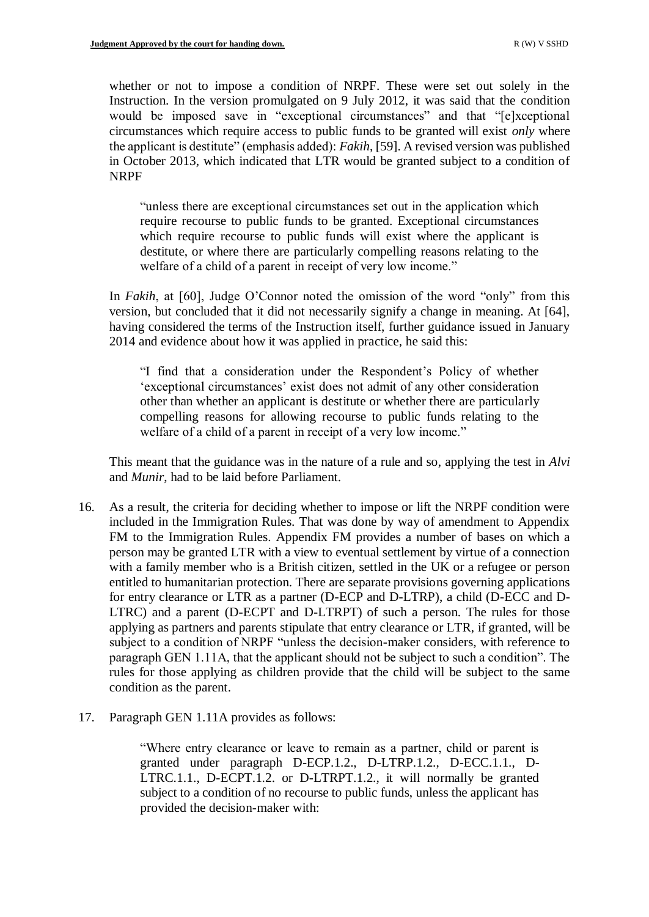whether or not to impose a condition of NRPF. These were set out solely in the Instruction. In the version promulgated on 9 July 2012, it was said that the condition would be imposed save in "exceptional circumstances" and that "[e]xceptional circumstances which require access to public funds to be granted will exist *only* where the applicant is destitute" (emphasis added): *Fakih*, [59]. A revised version was published in October 2013, which indicated that LTR would be granted subject to a condition of NRPF

"unless there are exceptional circumstances set out in the application which require recourse to public funds to be granted. Exceptional circumstances which require recourse to public funds will exist where the applicant is destitute, or where there are particularly compelling reasons relating to the welfare of a child of a parent in receipt of very low income."

In *Fakih*, at [60], Judge O'Connor noted the omission of the word "only" from this version, but concluded that it did not necessarily signify a change in meaning. At [64], having considered the terms of the Instruction itself, further guidance issued in January 2014 and evidence about how it was applied in practice, he said this:

"I find that a consideration under the Respondent's Policy of whether 'exceptional circumstances' exist does not admit of any other consideration other than whether an applicant is destitute or whether there are particularly compelling reasons for allowing recourse to public funds relating to the welfare of a child of a parent in receipt of a very low income."

This meant that the guidance was in the nature of a rule and so, applying the test in *Alvi* and *Munir*, had to be laid before Parliament.

- 16. As a result, the criteria for deciding whether to impose or lift the NRPF condition were included in the Immigration Rules. That was done by way of amendment to Appendix FM to the Immigration Rules. Appendix FM provides a number of bases on which a person may be granted LTR with a view to eventual settlement by virtue of a connection with a family member who is a British citizen, settled in the UK or a refugee or person entitled to humanitarian protection. There are separate provisions governing applications for entry clearance or LTR as a partner (D-ECP and D-LTRP), a child (D-ECC and D-LTRC) and a parent (D-ECPT and D-LTRPT) of such a person. The rules for those applying as partners and parents stipulate that entry clearance or LTR, if granted, will be subject to a condition of NRPF "unless the decision-maker considers, with reference to paragraph GEN 1.11A, that the applicant should not be subject to such a condition". The rules for those applying as children provide that the child will be subject to the same condition as the parent.
- 17. Paragraph GEN 1.11A provides as follows:

"Where entry clearance or leave to remain as a partner, child or parent is granted under paragraph D-ECP.1.2., D-LTRP.1.2., D-ECC.1.1., D-LTRC.1.1., D-ECPT.1.2. or D-LTRPT.1.2., it will normally be granted subject to a condition of no recourse to public funds, unless the applicant has provided the decision-maker with: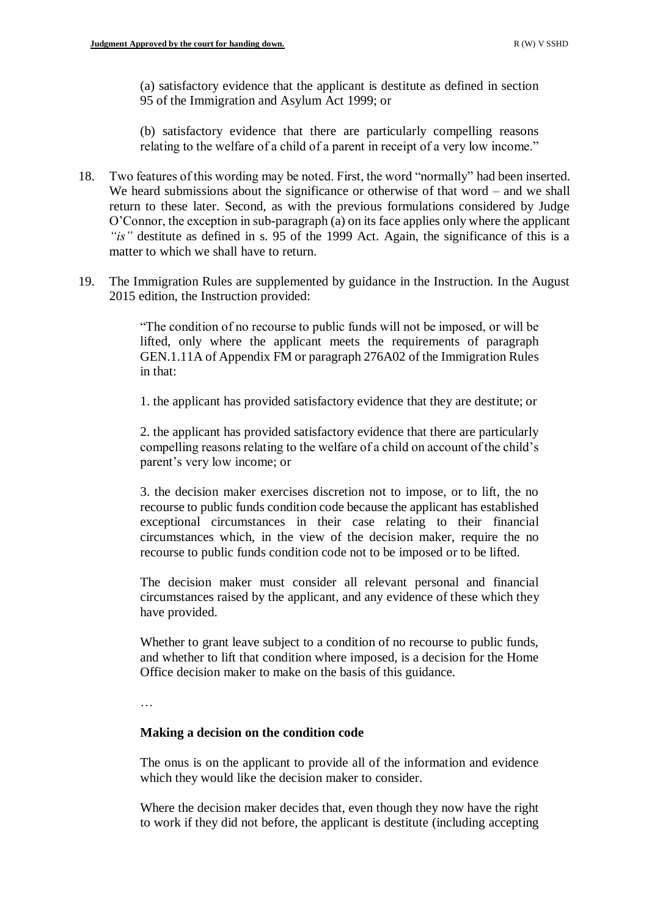(a) satisfactory evidence that the applicant is destitute as defined in section 95 of the Immigration and Asylum Act 1999; or

(b) satisfactory evidence that there are particularly compelling reasons relating to the welfare of a child of a parent in receipt of a very low income."

- 18. Two features of this wording may be noted. First, the word "normally" had been inserted. We heard submissions about the significance or otherwise of that word – and we shall return to these later. Second, as with the previous formulations considered by Judge O'Connor, the exception in sub-paragraph (a) on its face applies only where the applicant *"is"* destitute as defined in s. 95 of the 1999 Act. Again, the significance of this is a matter to which we shall have to return.
- 19. The Immigration Rules are supplemented by guidance in the Instruction. In the August 2015 edition, the Instruction provided:

"The condition of no recourse to public funds will not be imposed, or will be lifted, only where the applicant meets the requirements of paragraph GEN.1.11A of Appendix FM or paragraph 276A02 of the Immigration Rules in that:

1. the applicant has provided satisfactory evidence that they are destitute; or

2. the applicant has provided satisfactory evidence that there are particularly compelling reasons relating to the welfare of a child on account of the child's parent's very low income; or

3. the decision maker exercises discretion not to impose, or to lift, the no recourse to public funds condition code because the applicant has established exceptional circumstances in their case relating to their financial circumstances which, in the view of the decision maker, require the no recourse to public funds condition code not to be imposed or to be lifted.

The decision maker must consider all relevant personal and financial circumstances raised by the applicant, and any evidence of these which they have provided.

Whether to grant leave subject to a condition of no recourse to public funds, and whether to lift that condition where imposed, is a decision for the Home Office decision maker to make on the basis of this guidance.

…

# **Making a decision on the condition code**

The onus is on the applicant to provide all of the information and evidence which they would like the decision maker to consider.

Where the decision maker decides that, even though they now have the right to work if they did not before, the applicant is destitute (including accepting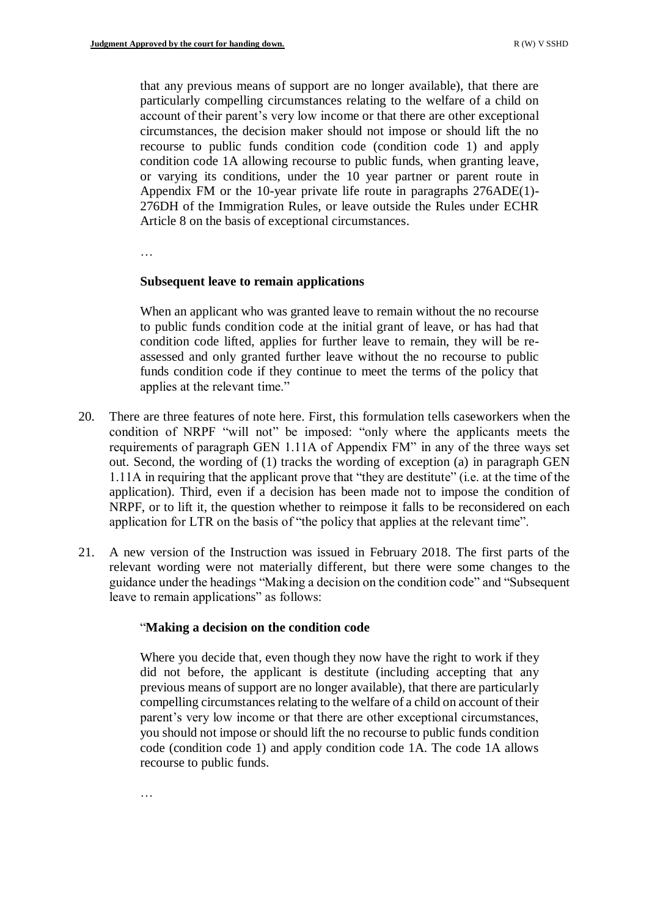that any previous means of support are no longer available), that there are particularly compelling circumstances relating to the welfare of a child on account of their parent's very low income or that there are other exceptional circumstances, the decision maker should not impose or should lift the no recourse to public funds condition code (condition code 1) and apply condition code 1A allowing recourse to public funds, when granting leave, or varying its conditions, under the 10 year partner or parent route in Appendix FM or the 10-year private life route in paragraphs 276ADE(1)- 276DH of the Immigration Rules, or leave outside the Rules under ECHR Article 8 on the basis of exceptional circumstances.

…

#### **Subsequent leave to remain applications**

When an applicant who was granted leave to remain without the no recourse to public funds condition code at the initial grant of leave, or has had that condition code lifted, applies for further leave to remain, they will be reassessed and only granted further leave without the no recourse to public funds condition code if they continue to meet the terms of the policy that applies at the relevant time."

- 20. There are three features of note here. First, this formulation tells caseworkers when the condition of NRPF "will not" be imposed: "only where the applicants meets the requirements of paragraph GEN 1.11A of Appendix FM" in any of the three ways set out. Second, the wording of (1) tracks the wording of exception (a) in paragraph GEN 1.11A in requiring that the applicant prove that "they are destitute" (i.e. at the time of the application). Third, even if a decision has been made not to impose the condition of NRPF, or to lift it, the question whether to reimpose it falls to be reconsidered on each application for LTR on the basis of "the policy that applies at the relevant time".
- 21. A new version of the Instruction was issued in February 2018. The first parts of the relevant wording were not materially different, but there were some changes to the guidance under the headings "Making a decision on the condition code" and "Subsequent leave to remain applications" as follows:

#### "**Making a decision on the condition code**

Where you decide that, even though they now have the right to work if they did not before, the applicant is destitute (including accepting that any previous means of support are no longer available), that there are particularly compelling circumstances relating to the welfare of a child on account of their parent's very low income or that there are other exceptional circumstances, you should not impose or should lift the no recourse to public funds condition code (condition code 1) and apply condition code 1A. The code 1A allows recourse to public funds.

…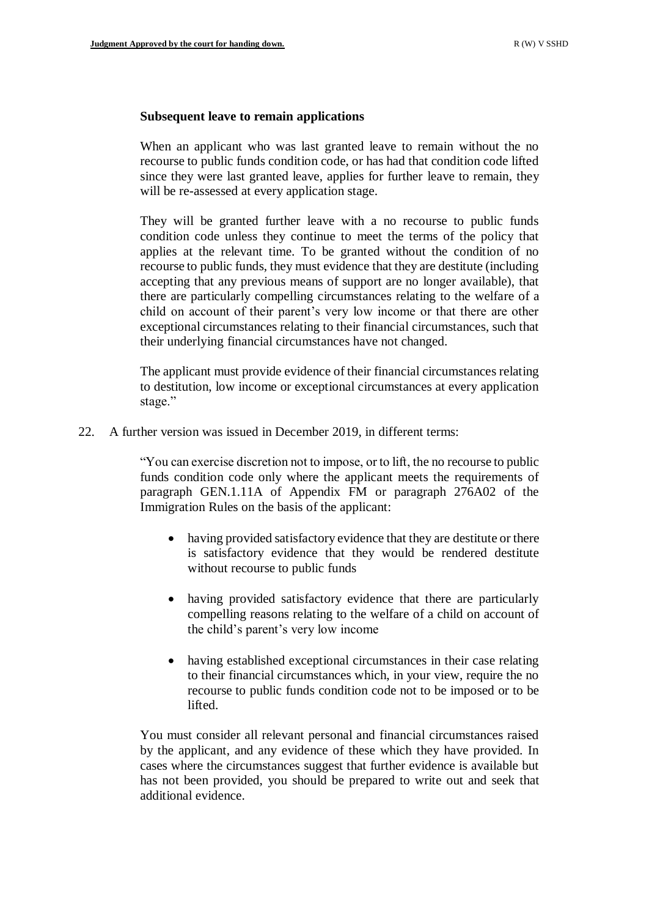### **Subsequent leave to remain applications**

When an applicant who was last granted leave to remain without the no recourse to public funds condition code, or has had that condition code lifted since they were last granted leave, applies for further leave to remain, they will be re-assessed at every application stage.

They will be granted further leave with a no recourse to public funds condition code unless they continue to meet the terms of the policy that applies at the relevant time. To be granted without the condition of no recourse to public funds, they must evidence that they are destitute (including accepting that any previous means of support are no longer available), that there are particularly compelling circumstances relating to the welfare of a child on account of their parent's very low income or that there are other exceptional circumstances relating to their financial circumstances, such that their underlying financial circumstances have not changed.

The applicant must provide evidence of their financial circumstances relating to destitution, low income or exceptional circumstances at every application stage."

22. A further version was issued in December 2019, in different terms:

"You can exercise discretion not to impose, or to lift, the no recourse to public funds condition code only where the applicant meets the requirements of paragraph GEN.1.11A of Appendix FM or paragraph 276A02 of the Immigration Rules on the basis of the applicant:

- having provided satisfactory evidence that they are destitute or there is satisfactory evidence that they would be rendered destitute without recourse to public funds
- having provided satisfactory evidence that there are particularly compelling reasons relating to the welfare of a child on account of the child's parent's very low income
- having established exceptional circumstances in their case relating to their financial circumstances which, in your view, require the no recourse to public funds condition code not to be imposed or to be lifted.

You must consider all relevant personal and financial circumstances raised by the applicant, and any evidence of these which they have provided. In cases where the circumstances suggest that further evidence is available but has not been provided, you should be prepared to write out and seek that additional evidence.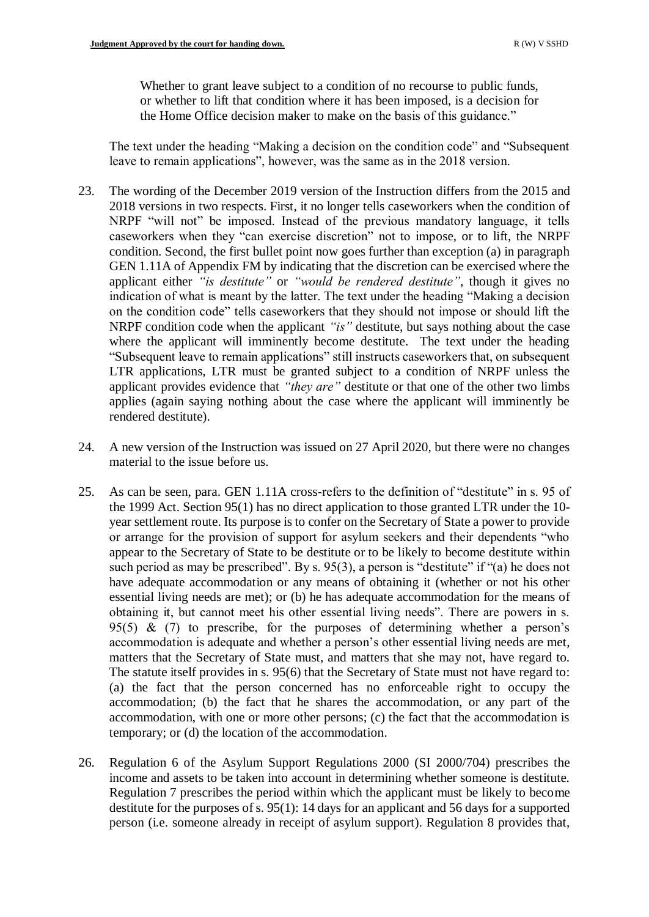Whether to grant leave subject to a condition of no recourse to public funds, or whether to lift that condition where it has been imposed, is a decision for the Home Office decision maker to make on the basis of this guidance."

The text under the heading "Making a decision on the condition code" and "Subsequent leave to remain applications", however, was the same as in the 2018 version.

- 23. The wording of the December 2019 version of the Instruction differs from the 2015 and 2018 versions in two respects. First, it no longer tells caseworkers when the condition of NRPF "will not" be imposed. Instead of the previous mandatory language, it tells caseworkers when they "can exercise discretion" not to impose, or to lift, the NRPF condition. Second, the first bullet point now goes further than exception (a) in paragraph GEN 1.11A of Appendix FM by indicating that the discretion can be exercised where the applicant either *"is destitute"* or *"would be rendered destitute"*, though it gives no indication of what is meant by the latter. The text under the heading "Making a decision on the condition code" tells caseworkers that they should not impose or should lift the NRPF condition code when the applicant *"is"* destitute, but says nothing about the case where the applicant will imminently become destitute. The text under the heading "Subsequent leave to remain applications" still instructs caseworkers that, on subsequent LTR applications, LTR must be granted subject to a condition of NRPF unless the applicant provides evidence that *"they are"* destitute or that one of the other two limbs applies (again saying nothing about the case where the applicant will imminently be rendered destitute).
- 24. A new version of the Instruction was issued on 27 April 2020, but there were no changes material to the issue before us.
- 25. As can be seen, para. GEN 1.11A cross-refers to the definition of "destitute" in s. 95 of the 1999 Act. Section 95(1) has no direct application to those granted LTR under the 10 year settlement route. Its purpose is to confer on the Secretary of State a power to provide or arrange for the provision of support for asylum seekers and their dependents "who appear to the Secretary of State to be destitute or to be likely to become destitute within such period as may be prescribed". By s. 95(3), a person is "destitute" if "(a) he does not have adequate accommodation or any means of obtaining it (whether or not his other essential living needs are met); or (b) he has adequate accommodation for the means of obtaining it, but cannot meet his other essential living needs". There are powers in s. 95(5) &  $(7)$  to prescribe, for the purposes of determining whether a person's accommodation is adequate and whether a person's other essential living needs are met, matters that the Secretary of State must, and matters that she may not, have regard to. The statute itself provides in s. 95(6) that the Secretary of State must not have regard to: (a) the fact that the person concerned has no enforceable right to occupy the accommodation; (b) the fact that he shares the accommodation, or any part of the accommodation, with one or more other persons; (c) the fact that the accommodation is temporary; or (d) the location of the accommodation.
- 26. Regulation 6 of the Asylum Support Regulations 2000 (SI 2000/704) prescribes the income and assets to be taken into account in determining whether someone is destitute. Regulation 7 prescribes the period within which the applicant must be likely to become destitute for the purposes of s. 95(1): 14 days for an applicant and 56 days for a supported person (i.e. someone already in receipt of asylum support). Regulation 8 provides that,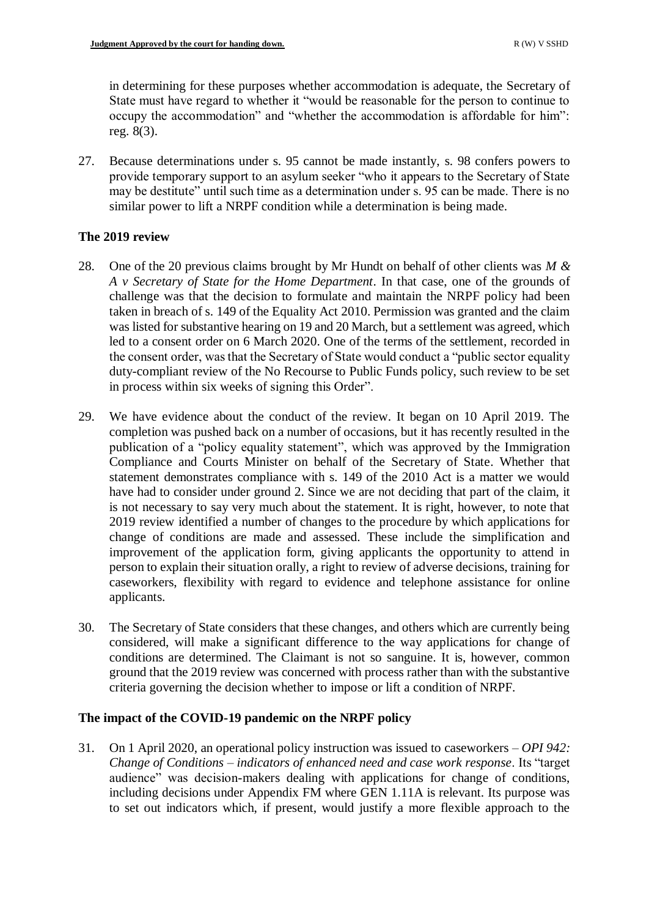in determining for these purposes whether accommodation is adequate, the Secretary of State must have regard to whether it "would be reasonable for the person to continue to occupy the accommodation" and "whether the accommodation is affordable for him": reg. 8(3).

27. Because determinations under s. 95 cannot be made instantly, s. 98 confers powers to provide temporary support to an asylum seeker "who it appears to the Secretary of State may be destitute" until such time as a determination under s. 95 can be made. There is no similar power to lift a NRPF condition while a determination is being made.

# **The 2019 review**

- 28. One of the 20 previous claims brought by Mr Hundt on behalf of other clients was *M & A v Secretary of State for the Home Department*. In that case, one of the grounds of challenge was that the decision to formulate and maintain the NRPF policy had been taken in breach of s. 149 of the Equality Act 2010. Permission was granted and the claim was listed for substantive hearing on 19 and 20 March, but a settlement was agreed, which led to a consent order on 6 March 2020. One of the terms of the settlement, recorded in the consent order, was that the Secretary of State would conduct a "public sector equality duty-compliant review of the No Recourse to Public Funds policy, such review to be set in process within six weeks of signing this Order".
- 29. We have evidence about the conduct of the review. It began on 10 April 2019. The completion was pushed back on a number of occasions, but it has recently resulted in the publication of a "policy equality statement", which was approved by the Immigration Compliance and Courts Minister on behalf of the Secretary of State. Whether that statement demonstrates compliance with s. 149 of the 2010 Act is a matter we would have had to consider under ground 2. Since we are not deciding that part of the claim, it is not necessary to say very much about the statement. It is right, however, to note that 2019 review identified a number of changes to the procedure by which applications for change of conditions are made and assessed. These include the simplification and improvement of the application form, giving applicants the opportunity to attend in person to explain their situation orally, a right to review of adverse decisions, training for caseworkers, flexibility with regard to evidence and telephone assistance for online applicants.
- 30. The Secretary of State considers that these changes, and others which are currently being considered, will make a significant difference to the way applications for change of conditions are determined. The Claimant is not so sanguine. It is, however, common ground that the 2019 review was concerned with process rather than with the substantive criteria governing the decision whether to impose or lift a condition of NRPF.

# **The impact of the COVID-19 pandemic on the NRPF policy**

31. On 1 April 2020, an operational policy instruction was issued to caseworkers – *OPI 942: Change of Conditions – indicators of enhanced need and case work response*. Its "target audience" was decision-makers dealing with applications for change of conditions, including decisions under Appendix FM where GEN 1.11A is relevant. Its purpose was to set out indicators which, if present, would justify a more flexible approach to the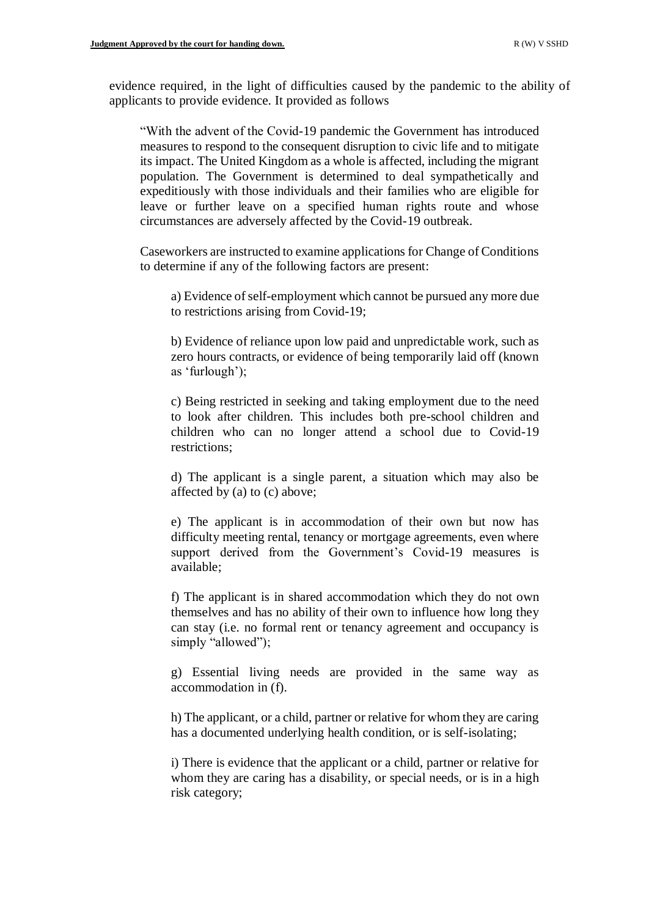evidence required, in the light of difficulties caused by the pandemic to the ability of applicants to provide evidence. It provided as follows

"With the advent of the Covid-19 pandemic the Government has introduced measures to respond to the consequent disruption to civic life and to mitigate its impact. The United Kingdom as a whole is affected, including the migrant population. The Government is determined to deal sympathetically and expeditiously with those individuals and their families who are eligible for leave or further leave on a specified human rights route and whose circumstances are adversely affected by the Covid-19 outbreak.

Caseworkers are instructed to examine applications for Change of Conditions to determine if any of the following factors are present:

a) Evidence of self-employment which cannot be pursued any more due to restrictions arising from Covid-19;

b) Evidence of reliance upon low paid and unpredictable work, such as zero hours contracts, or evidence of being temporarily laid off (known as 'furlough');

c) Being restricted in seeking and taking employment due to the need to look after children. This includes both pre-school children and children who can no longer attend a school due to Covid-19 restrictions;

d) The applicant is a single parent, a situation which may also be affected by (a) to (c) above;

e) The applicant is in accommodation of their own but now has difficulty meeting rental, tenancy or mortgage agreements, even where support derived from the Government's Covid-19 measures is available;

f) The applicant is in shared accommodation which they do not own themselves and has no ability of their own to influence how long they can stay (i.e. no formal rent or tenancy agreement and occupancy is simply "allowed");

g) Essential living needs are provided in the same way as accommodation in (f).

h) The applicant, or a child, partner or relative for whom they are caring has a documented underlying health condition, or is self-isolating;

i) There is evidence that the applicant or a child, partner or relative for whom they are caring has a disability, or special needs, or is in a high risk category;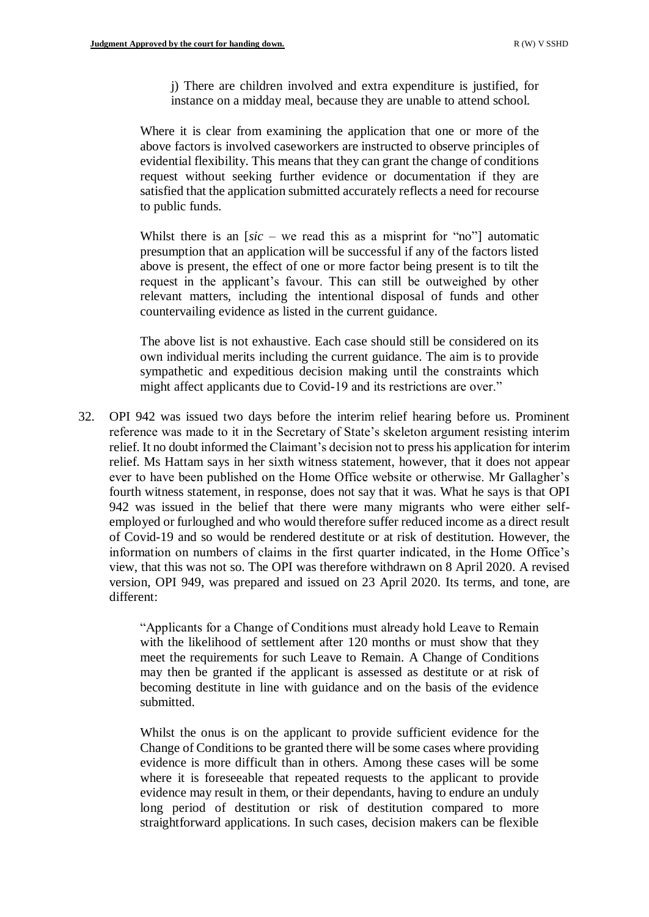j) There are children involved and extra expenditure is justified, for instance on a midday meal, because they are unable to attend school.

Where it is clear from examining the application that one or more of the above factors is involved caseworkers are instructed to observe principles of evidential flexibility. This means that they can grant the change of conditions request without seeking further evidence or documentation if they are satisfied that the application submitted accurately reflects a need for recourse to public funds.

Whilst there is an [*sic –* we read this as a misprint for "no"] automatic presumption that an application will be successful if any of the factors listed above is present, the effect of one or more factor being present is to tilt the request in the applicant's favour. This can still be outweighed by other relevant matters, including the intentional disposal of funds and other countervailing evidence as listed in the current guidance.

The above list is not exhaustive. Each case should still be considered on its own individual merits including the current guidance. The aim is to provide sympathetic and expeditious decision making until the constraints which might affect applicants due to Covid-19 and its restrictions are over."

32. OPI 942 was issued two days before the interim relief hearing before us. Prominent reference was made to it in the Secretary of State's skeleton argument resisting interim relief. It no doubt informed the Claimant's decision not to press his application for interim relief. Ms Hattam says in her sixth witness statement, however, that it does not appear ever to have been published on the Home Office website or otherwise. Mr Gallagher's fourth witness statement, in response, does not say that it was. What he says is that OPI 942 was issued in the belief that there were many migrants who were either selfemployed or furloughed and who would therefore suffer reduced income as a direct result of Covid-19 and so would be rendered destitute or at risk of destitution. However, the information on numbers of claims in the first quarter indicated, in the Home Office's view, that this was not so. The OPI was therefore withdrawn on 8 April 2020. A revised version, OPI 949, was prepared and issued on 23 April 2020. Its terms, and tone, are different:

> "Applicants for a Change of Conditions must already hold Leave to Remain with the likelihood of settlement after 120 months or must show that they meet the requirements for such Leave to Remain. A Change of Conditions may then be granted if the applicant is assessed as destitute or at risk of becoming destitute in line with guidance and on the basis of the evidence submitted.

> Whilst the onus is on the applicant to provide sufficient evidence for the Change of Conditions to be granted there will be some cases where providing evidence is more difficult than in others. Among these cases will be some where it is foreseeable that repeated requests to the applicant to provide evidence may result in them, or their dependants, having to endure an unduly long period of destitution or risk of destitution compared to more straightforward applications. In such cases, decision makers can be flexible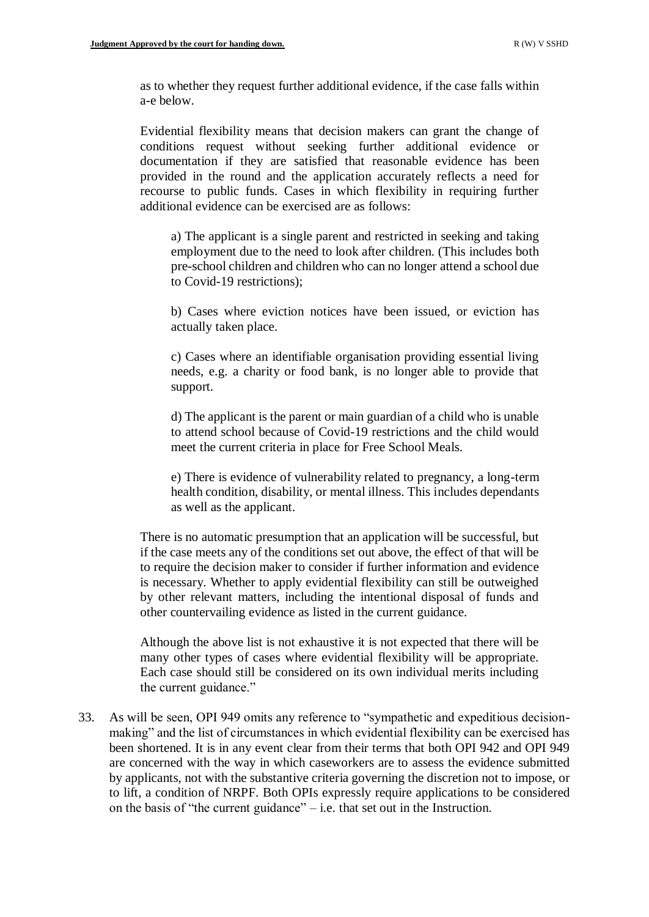as to whether they request further additional evidence, if the case falls within a-e below.

Evidential flexibility means that decision makers can grant the change of conditions request without seeking further additional evidence or documentation if they are satisfied that reasonable evidence has been provided in the round and the application accurately reflects a need for recourse to public funds. Cases in which flexibility in requiring further additional evidence can be exercised are as follows:

a) The applicant is a single parent and restricted in seeking and taking employment due to the need to look after children. (This includes both pre-school children and children who can no longer attend a school due to Covid-19 restrictions);

b) Cases where eviction notices have been issued, or eviction has actually taken place.

c) Cases where an identifiable organisation providing essential living needs, e.g. a charity or food bank, is no longer able to provide that support.

d) The applicant is the parent or main guardian of a child who is unable to attend school because of Covid-19 restrictions and the child would meet the current criteria in place for Free School Meals.

e) There is evidence of vulnerability related to pregnancy, a long-term health condition, disability, or mental illness. This includes dependants as well as the applicant.

There is no automatic presumption that an application will be successful, but if the case meets any of the conditions set out above, the effect of that will be to require the decision maker to consider if further information and evidence is necessary. Whether to apply evidential flexibility can still be outweighed by other relevant matters, including the intentional disposal of funds and other countervailing evidence as listed in the current guidance.

Although the above list is not exhaustive it is not expected that there will be many other types of cases where evidential flexibility will be appropriate. Each case should still be considered on its own individual merits including the current guidance."

33. As will be seen, OPI 949 omits any reference to "sympathetic and expeditious decisionmaking" and the list of circumstances in which evidential flexibility can be exercised has been shortened. It is in any event clear from their terms that both OPI 942 and OPI 949 are concerned with the way in which caseworkers are to assess the evidence submitted by applicants, not with the substantive criteria governing the discretion not to impose, or to lift, a condition of NRPF. Both OPIs expressly require applications to be considered on the basis of "the current guidance" – i.e. that set out in the Instruction.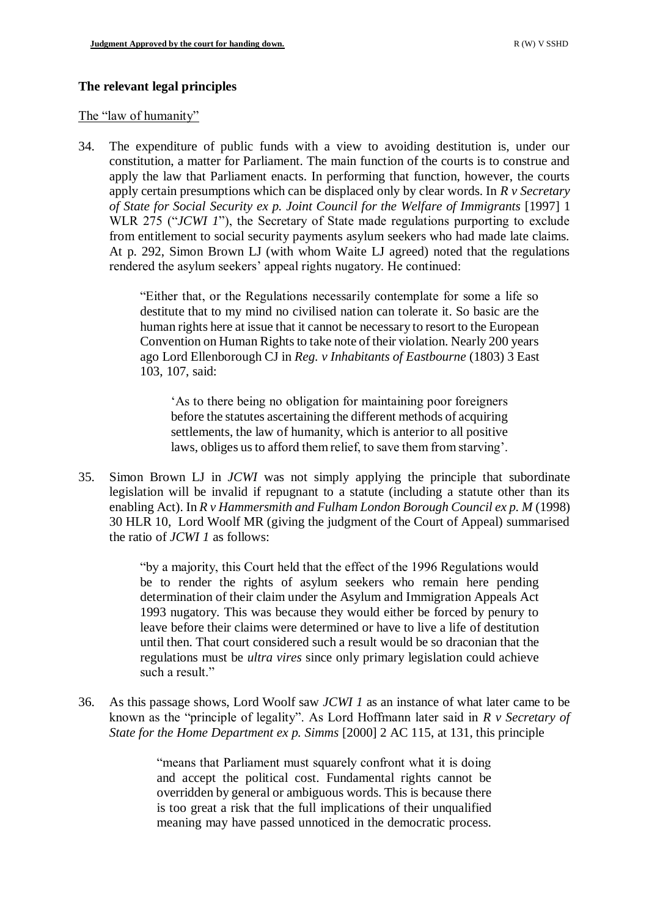# **The relevant legal principles**

### The "law of humanity"

34. The expenditure of public funds with a view to avoiding destitution is, under our constitution, a matter for Parliament. The main function of the courts is to construe and apply the law that Parliament enacts. In performing that function, however, the courts apply certain presumptions which can be displaced only by clear words. In *R v Secretary of State for Social Security ex p. Joint Council for the Welfare of Immigrants* [1997] 1 WLR 275 ("*JCWI 1*"), the Secretary of State made regulations purporting to exclude from entitlement to social security payments asylum seekers who had made late claims. At p. 292, Simon Brown LJ (with whom Waite LJ agreed) noted that the regulations rendered the asylum seekers' appeal rights nugatory. He continued:

> "Either that, or the Regulations necessarily contemplate for some a life so destitute that to my mind no civilised nation can tolerate it. So basic are the human rights here at issue that it cannot be necessary to resort to the European Convention on Human Rights to take note of their violation. Nearly 200 years ago Lord Ellenborough CJ in *Reg. v Inhabitants of Eastbourne* (1803) 3 East 103, 107, said:

'As to there being no obligation for maintaining poor foreigners before the statutes ascertaining the different methods of acquiring settlements, the law of humanity, which is anterior to all positive laws, obliges us to afford them relief, to save them from starving'.

35. Simon Brown LJ in *JCWI* was not simply applying the principle that subordinate legislation will be invalid if repugnant to a statute (including a statute other than its enabling Act). In *R v Hammersmith and Fulham London Borough Council ex p. M* (1998) 30 HLR 10, Lord Woolf MR (giving the judgment of the Court of Appeal) summarised the ratio of *JCWI 1* as follows:

> "by a majority, this Court held that the effect of the 1996 Regulations would be to render the rights of asylum seekers who remain here pending determination of their claim under the Asylum and Immigration Appeals Act 1993 nugatory. This was because they would either be forced by penury to leave before their claims were determined or have to live a life of destitution until then. That court considered such a result would be so draconian that the regulations must be *ultra vires* since only primary legislation could achieve such a result."

36. As this passage shows, Lord Woolf saw *JCWI 1* as an instance of what later came to be known as the "principle of legality". As Lord Hoffmann later said in *R v Secretary of State for the Home Department ex p. Simms* [2000] 2 AC 115, at 131, this principle

> "means that Parliament must squarely confront what it is doing and accept the political cost. Fundamental rights cannot be overridden by general or ambiguous words. This is because there is too great a risk that the full implications of their unqualified meaning may have passed unnoticed in the democratic process.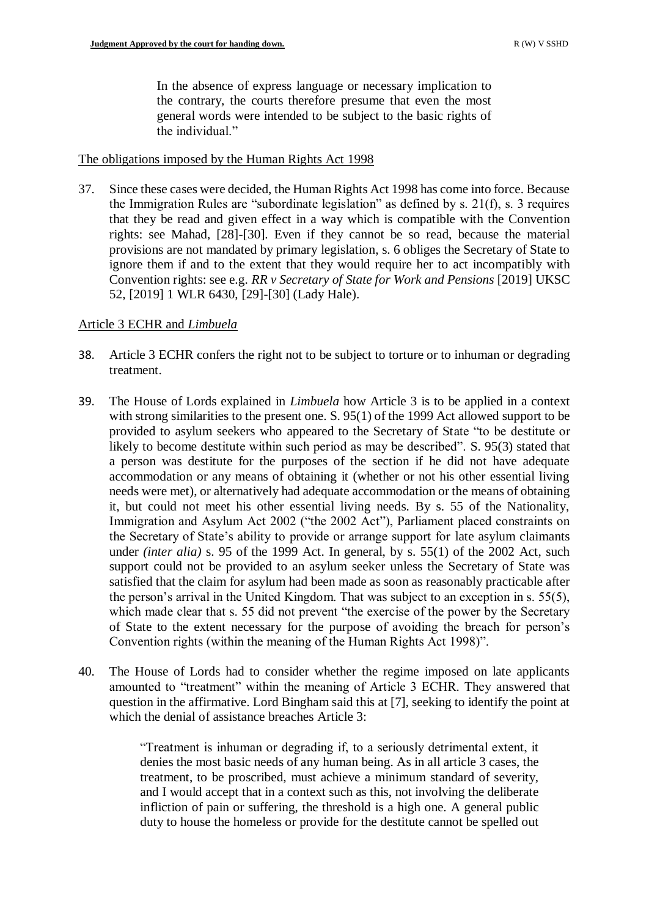In the absence of express language or necessary implication to the contrary, the courts therefore presume that even the most general words were intended to be subject to the basic rights of the individual."

## The obligations imposed by the Human Rights Act 1998

37. Since these cases were decided, the Human Rights Act 1998 has come into force. Because the Immigration Rules are "subordinate legislation" as defined by s. 21(f), s. 3 requires that they be read and given effect in a way which is compatible with the Convention rights: see Mahad, [28]-[30]. Even if they cannot be so read, because the material provisions are not mandated by primary legislation, s. 6 obliges the Secretary of State to ignore them if and to the extent that they would require her to act incompatibly with Convention rights: see e.g. *RR v Secretary of State for Work and Pensions* [2019] UKSC 52, [2019] 1 WLR 6430, [29]-[30] (Lady Hale).

# Article 3 ECHR and *Limbuela*

- 38. Article 3 ECHR confers the right not to be subject to torture or to inhuman or degrading treatment.
- 39. The House of Lords explained in *Limbuela* how Article 3 is to be applied in a context with strong similarities to the present one. S. 95(1) of the 1999 Act allowed support to be provided to asylum seekers who appeared to the Secretary of State "to be destitute or likely to become destitute within such period as may be described". S. 95(3) stated that a person was destitute for the purposes of the section if he did not have adequate accommodation or any means of obtaining it (whether or not his other essential living needs were met), or alternatively had adequate accommodation or the means of obtaining it, but could not meet his other essential living needs. By s. 55 of the Nationality, Immigration and Asylum Act 2002 ("the 2002 Act"), Parliament placed constraints on the Secretary of State's ability to provide or arrange support for late asylum claimants under *(inter alia)* s. 95 of the 1999 Act. In general, by s. 55(1) of the 2002 Act, such support could not be provided to an asylum seeker unless the Secretary of State was satisfied that the claim for asylum had been made as soon as reasonably practicable after the person's arrival in the United Kingdom. That was subject to an exception in s. 55(5), which made clear that s. 55 did not prevent "the exercise of the power by the Secretary of State to the extent necessary for the purpose of avoiding the breach for person's Convention rights (within the meaning of the Human Rights Act 1998)".
- 40. The House of Lords had to consider whether the regime imposed on late applicants amounted to "treatment" within the meaning of Article 3 ECHR. They answered that question in the affirmative. Lord Bingham said this at [7], seeking to identify the point at which the denial of assistance breaches Article 3:

"Treatment is inhuman or degrading if, to a seriously detrimental extent, it denies the most basic needs of any human being. As in all article 3 cases, the treatment, to be proscribed, must achieve a minimum standard of severity, and I would accept that in a context such as this, not involving the deliberate infliction of pain or suffering, the threshold is a high one. A general public duty to house the homeless or provide for the destitute cannot be spelled out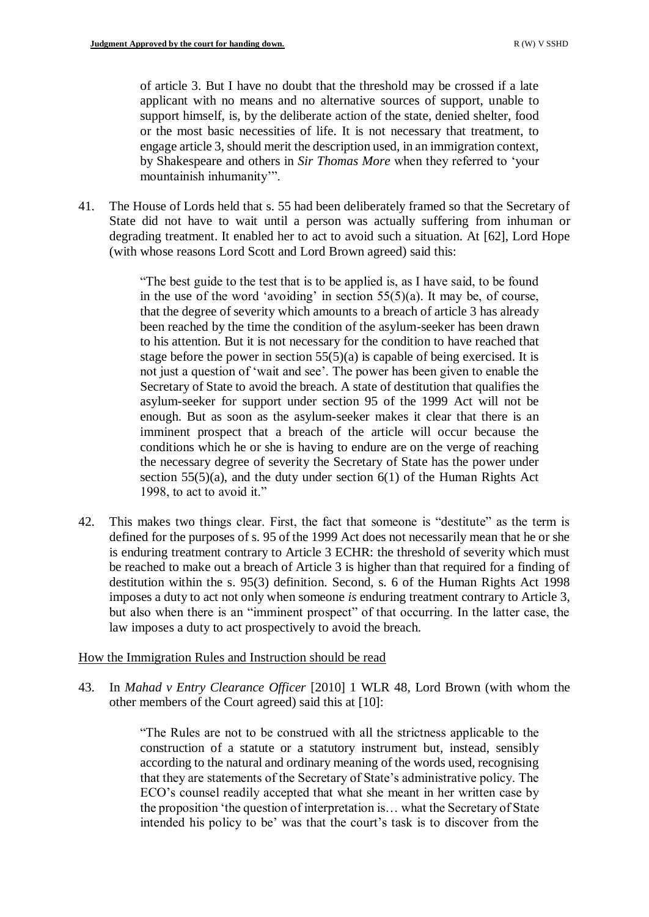of article 3. But I have no doubt that the threshold may be crossed if a late applicant with no means and no alternative sources of support, unable to support himself, is, by the deliberate action of the state, denied shelter, food or the most basic necessities of life. It is not necessary that treatment, to engage article 3, should merit the description used, in an immigration context, by Shakespeare and others in *Sir Thomas More* when they referred to 'your mountainish inhumanity'".

41. The House of Lords held that s. 55 had been deliberately framed so that the Secretary of State did not have to wait until a person was actually suffering from inhuman or degrading treatment. It enabled her to act to avoid such a situation. At [62], Lord Hope (with whose reasons Lord Scott and Lord Brown agreed) said this:

> "The best guide to the test that is to be applied is, as I have said, to be found in the use of the word 'avoiding' in section  $55(5)(a)$ . It may be, of course, that the degree of severity which amounts to a breach of article 3 has already been reached by the time the condition of the asylum-seeker has been drawn to his attention. But it is not necessary for the condition to have reached that stage before the power in section  $55(5)(a)$  is capable of being exercised. It is not just a question of 'wait and see'. The power has been given to enable the Secretary of State to avoid the breach. A state of destitution that qualifies the asylum-seeker for support under section 95 of the 1999 Act will not be enough. But as soon as the asylum-seeker makes it clear that there is an imminent prospect that a breach of the article will occur because the conditions which he or she is having to endure are on the verge of reaching the necessary degree of severity the Secretary of State has the power under section  $55(5)(a)$ , and the duty under section  $6(1)$  of the Human Rights Act 1998, to act to avoid it."

42. This makes two things clear. First, the fact that someone is "destitute" as the term is defined for the purposes of s. 95 of the 1999 Act does not necessarily mean that he or she is enduring treatment contrary to Article 3 ECHR: the threshold of severity which must be reached to make out a breach of Article 3 is higher than that required for a finding of destitution within the s. 95(3) definition. Second, s. 6 of the Human Rights Act 1998 imposes a duty to act not only when someone *is* enduring treatment contrary to Article 3, but also when there is an "imminent prospect" of that occurring. In the latter case, the law imposes a duty to act prospectively to avoid the breach.

# How the Immigration Rules and Instruction should be read

43. In *Mahad v Entry Clearance Officer* [2010] 1 WLR 48, Lord Brown (with whom the other members of the Court agreed) said this at [10]:

> "The Rules are not to be construed with all the strictness applicable to the construction of a statute or a statutory instrument but, instead, sensibly according to the natural and ordinary meaning of the words used, recognising that they are statements of the Secretary of State's administrative policy. The ECO's counsel readily accepted that what she meant in her written case by the proposition 'the question of interpretation is… what the Secretary of State intended his policy to be' was that the court's task is to discover from the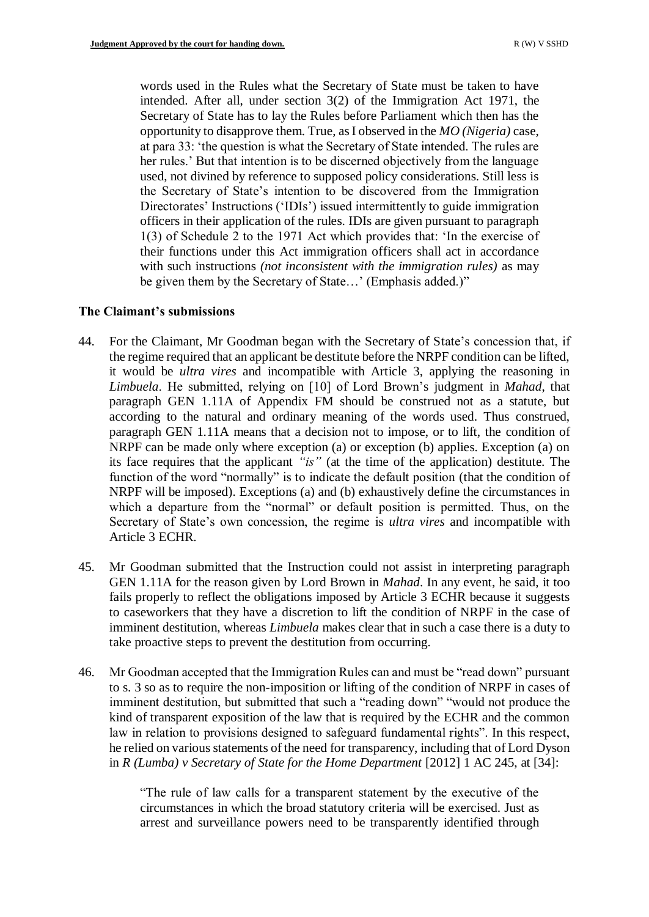words used in the Rules what the Secretary of State must be taken to have intended. After all, under section 3(2) of the Immigration Act 1971, the Secretary of State has to lay the Rules before Parliament which then has the opportunity to disapprove them. True, as I observed in the *MO (Nigeria)* case, at para 33: 'the question is what the Secretary of State intended. The rules are her rules.' But that intention is to be discerned objectively from the language used, not divined by reference to supposed policy considerations. Still less is the Secretary of State's intention to be discovered from the Immigration Directorates' Instructions ('IDIs') issued intermittently to guide immigration officers in their application of the rules. IDIs are given pursuant to paragraph 1(3) of Schedule 2 to the 1971 Act which provides that: 'In the exercise of their functions under this Act immigration officers shall act in accordance with such instructions *(not inconsistent with the immigration rules)* as may be given them by the Secretary of State…' (Emphasis added.)"

# **The Claimant's submissions**

- 44. For the Claimant, Mr Goodman began with the Secretary of State's concession that, if the regime required that an applicant be destitute before the NRPF condition can be lifted, it would be *ultra vires* and incompatible with Article 3, applying the reasoning in *Limbuela*. He submitted, relying on [10] of Lord Brown's judgment in *Mahad*, that paragraph GEN 1.11A of Appendix FM should be construed not as a statute, but according to the natural and ordinary meaning of the words used. Thus construed, paragraph GEN 1.11A means that a decision not to impose, or to lift, the condition of NRPF can be made only where exception (a) or exception (b) applies. Exception (a) on its face requires that the applicant *"is"* (at the time of the application) destitute. The function of the word "normally" is to indicate the default position (that the condition of NRPF will be imposed). Exceptions (a) and (b) exhaustively define the circumstances in which a departure from the "normal" or default position is permitted. Thus, on the Secretary of State's own concession, the regime is *ultra vires* and incompatible with Article 3 ECHR.
- 45. Mr Goodman submitted that the Instruction could not assist in interpreting paragraph GEN 1.11A for the reason given by Lord Brown in *Mahad*. In any event, he said, it too fails properly to reflect the obligations imposed by Article 3 ECHR because it suggests to caseworkers that they have a discretion to lift the condition of NRPF in the case of imminent destitution, whereas *Limbuela* makes clear that in such a case there is a duty to take proactive steps to prevent the destitution from occurring.
- 46. Mr Goodman accepted that the Immigration Rules can and must be "read down" pursuant to s. 3 so as to require the non-imposition or lifting of the condition of NRPF in cases of imminent destitution, but submitted that such a "reading down" "would not produce the kind of transparent exposition of the law that is required by the ECHR and the common law in relation to provisions designed to safeguard fundamental rights". In this respect, he relied on various statements of the need for transparency, including that of Lord Dyson in *R (Lumba) v Secretary of State for the Home Department* [2012] 1 AC 245, at [34]:

"The rule of law calls for a transparent statement by the executive of the circumstances in which the broad statutory criteria will be exercised. Just as arrest and surveillance powers need to be transparently identified through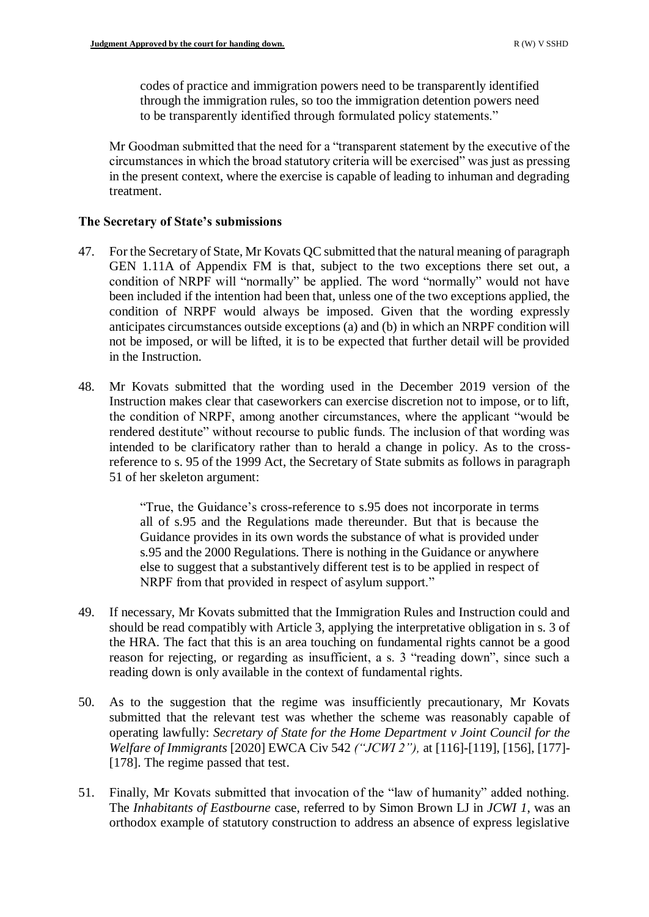codes of practice and immigration powers need to be transparently identified through the immigration rules, so too the immigration detention powers need to be transparently identified through formulated policy statements."

Mr Goodman submitted that the need for a "transparent statement by the executive of the circumstances in which the broad statutory criteria will be exercised" was just as pressing in the present context, where the exercise is capable of leading to inhuman and degrading treatment.

# **The Secretary of State's submissions**

- 47. For the Secretary of State, Mr Kovats QC submitted that the natural meaning of paragraph GEN 1.11A of Appendix FM is that, subject to the two exceptions there set out, a condition of NRPF will "normally" be applied. The word "normally" would not have been included if the intention had been that, unless one of the two exceptions applied, the condition of NRPF would always be imposed. Given that the wording expressly anticipates circumstances outside exceptions (a) and (b) in which an NRPF condition will not be imposed, or will be lifted, it is to be expected that further detail will be provided in the Instruction.
- 48. Mr Kovats submitted that the wording used in the December 2019 version of the Instruction makes clear that caseworkers can exercise discretion not to impose, or to lift, the condition of NRPF, among another circumstances, where the applicant "would be rendered destitute" without recourse to public funds. The inclusion of that wording was intended to be clarificatory rather than to herald a change in policy. As to the crossreference to s. 95 of the 1999 Act, the Secretary of State submits as follows in paragraph 51 of her skeleton argument:

"True, the Guidance's cross-reference to s.95 does not incorporate in terms all of s.95 and the Regulations made thereunder. But that is because the Guidance provides in its own words the substance of what is provided under s.95 and the 2000 Regulations. There is nothing in the Guidance or anywhere else to suggest that a substantively different test is to be applied in respect of NRPF from that provided in respect of asylum support."

- 49. If necessary, Mr Kovats submitted that the Immigration Rules and Instruction could and should be read compatibly with Article 3, applying the interpretative obligation in s. 3 of the HRA. The fact that this is an area touching on fundamental rights cannot be a good reason for rejecting, or regarding as insufficient, a s. 3 "reading down", since such a reading down is only available in the context of fundamental rights.
- 50. As to the suggestion that the regime was insufficiently precautionary, Mr Kovats submitted that the relevant test was whether the scheme was reasonably capable of operating lawfully: *Secretary of State for the Home Department v Joint Council for the Welfare of Immigrants* [2020] EWCA Civ 542 *("JCWI 2"),* at [116]-[119], [156], [177]- [178]. The regime passed that test.
- 51. Finally, Mr Kovats submitted that invocation of the "law of humanity" added nothing. The *Inhabitants of Eastbourne* case, referred to by Simon Brown LJ in *JCWI 1*, was an orthodox example of statutory construction to address an absence of express legislative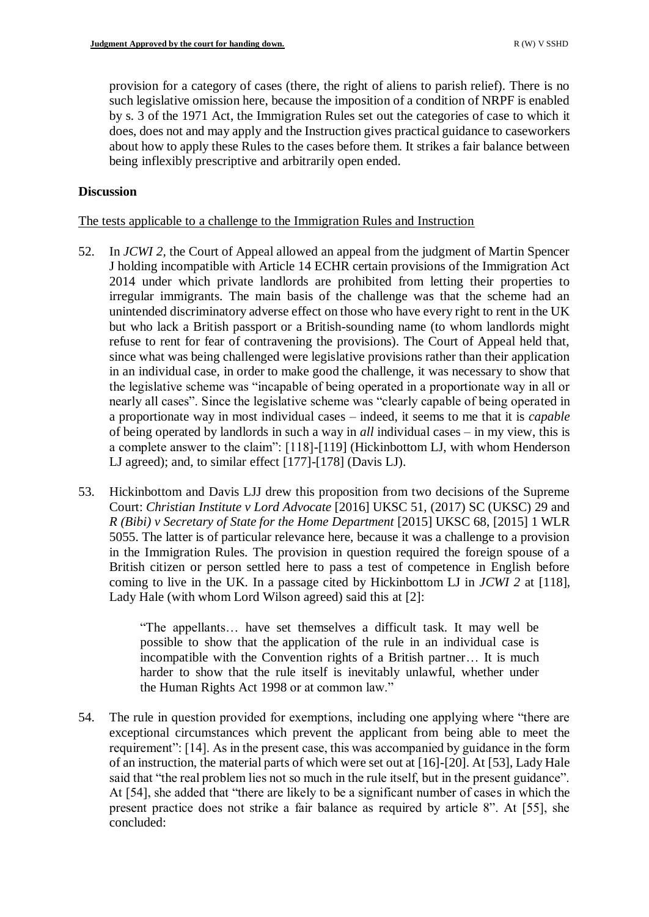provision for a category of cases (there, the right of aliens to parish relief). There is no such legislative omission here, because the imposition of a condition of NRPF is enabled by s. 3 of the 1971 Act, the Immigration Rules set out the categories of case to which it does, does not and may apply and the Instruction gives practical guidance to caseworkers about how to apply these Rules to the cases before them. It strikes a fair balance between being inflexibly prescriptive and arbitrarily open ended.

# **Discussion**

# The tests applicable to a challenge to the Immigration Rules and Instruction

- 52. In *JCWI 2,* the Court of Appeal allowed an appeal from the judgment of Martin Spencer J holding incompatible with Article 14 ECHR certain provisions of the Immigration Act 2014 under which private landlords are prohibited from letting their properties to irregular immigrants. The main basis of the challenge was that the scheme had an unintended discriminatory adverse effect on those who have every right to rent in the UK but who lack a British passport or a British-sounding name (to whom landlords might refuse to rent for fear of contravening the provisions). The Court of Appeal held that, since what was being challenged were legislative provisions rather than their application in an individual case, in order to make good the challenge, it was necessary to show that the legislative scheme was "incapable of being operated in a proportionate way in all or nearly all cases". Since the legislative scheme was "clearly capable of being operated in a proportionate way in most individual cases – indeed, it seems to me that it is *capable* of being operated by landlords in such a way in *all* individual cases – in my view, this is a complete answer to the claim": [118]-[119] (Hickinbottom LJ, with whom Henderson LJ agreed); and, to similar effect [177]-[178] (Davis LJ).
- 53. Hickinbottom and Davis LJJ drew this proposition from two decisions of the Supreme Court: *Christian Institute v Lord Advocate* [2016] UKSC 51, (2017) SC (UKSC) 29 and *R (Bibi) v Secretary of State for the Home Department* [2015] UKSC 68, [2015] 1 WLR 5055. The latter is of particular relevance here, because it was a challenge to a provision in the Immigration Rules. The provision in question required the foreign spouse of a British citizen or person settled here to pass a test of competence in English before coming to live in the UK. In a passage cited by Hickinbottom LJ in *JCWI 2* at [118], Lady Hale (with whom Lord Wilson agreed) said this at [2]:

"The appellants… have set themselves a difficult task. It may well be possible to show that the application of the rule in an individual case is incompatible with the Convention rights of a British partner… It is much harder to show that the rule itself is inevitably unlawful, whether under the [Human Rights Act 1998](https://uk.westlaw.com/Document/I5FB840F0E42311DAA7CF8F68F6EE57AB/View/FullText.html?originationContext=document&transitionType=DocumentItem&contextData=(sc.Search)) or at common law."

54. The rule in question provided for exemptions, including one applying where "there are exceptional circumstances which prevent the applicant from being able to meet the requirement": [14]. As in the present case, this was accompanied by guidance in the form of an instruction, the material parts of which were set out at [16]-[20]. At [53], Lady Hale said that "the real problem lies not so much in the rule itself, but in the present guidance". At [54], she added that "there are likely to be a significant number of cases in which the present practice does not strike a fair balance as required by article 8". At [55], she concluded: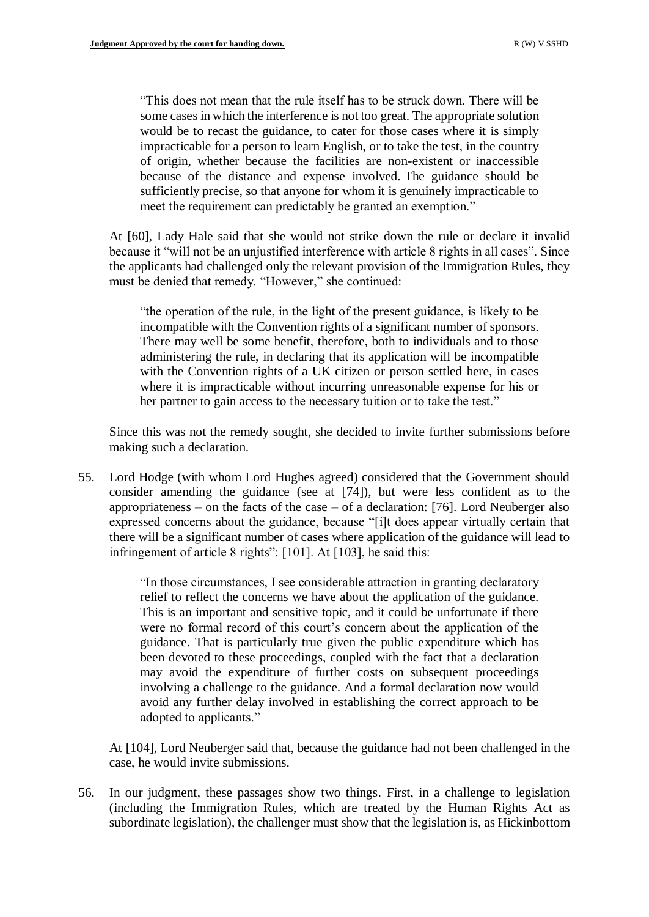"This does not mean that the rule itself has to be struck down. There will be some cases in which the interference is not too great. The appropriate solution would be to recast the guidance, to cater for those cases where it is simply impracticable for a person to learn English, or to take the test, in the country of origin, whether because the facilities are non-existent or inaccessible because of the distance and expense involved. The guidance should be sufficiently precise, so that anyone for whom it is genuinely impracticable to meet the requirement can predictably be granted an exemption."

At [60], Lady Hale said that she would not strike down the rule or declare it invalid because it "will not be an unjustified interference with article 8 rights in all cases". Since the applicants had challenged only the relevant provision of the Immigration Rules, they must be denied that remedy. "However," she continued:

"the operation of the rule, in the light of the present guidance, is likely to be incompatible with the Convention rights of a significant number of sponsors. There may well be some benefit, therefore, both to individuals and to those administering the rule, in declaring that its application will be incompatible with the Convention rights of a UK citizen or person settled here, in cases where it is impracticable without incurring unreasonable expense for his or her partner to gain access to the necessary tuition or to take the test."

Since this was not the remedy sought, she decided to invite further submissions before making such a declaration.

55. Lord Hodge (with whom Lord Hughes agreed) considered that the Government should consider amending the guidance (see at [74]), but were less confident as to the appropriateness – on the facts of the case – of a declaration: [76]. Lord Neuberger also expressed concerns about the guidance, because "[i]t does appear virtually certain that there will be a significant number of cases where application of the guidance will lead to infringement of article 8 rights": [101]. At [103], he said this:

> "In those circumstances, I see considerable attraction in granting declaratory relief to reflect the concerns we have about the application of the guidance. This is an important and sensitive topic, and it could be unfortunate if there were no formal record of this court's concern about the application of the guidance. That is particularly true given the public expenditure which has been devoted to these proceedings, coupled with the fact that a declaration may avoid the expenditure of further costs on subsequent proceedings involving a challenge to the guidance. And a formal declaration now would avoid any further delay involved in establishing the correct approach to be adopted to applicants."

At [104], Lord Neuberger said that, because the guidance had not been challenged in the case, he would invite submissions.

56. In our judgment, these passages show two things. First, in a challenge to legislation (including the Immigration Rules, which are treated by the Human Rights Act as subordinate legislation), the challenger must show that the legislation is, as Hickinbottom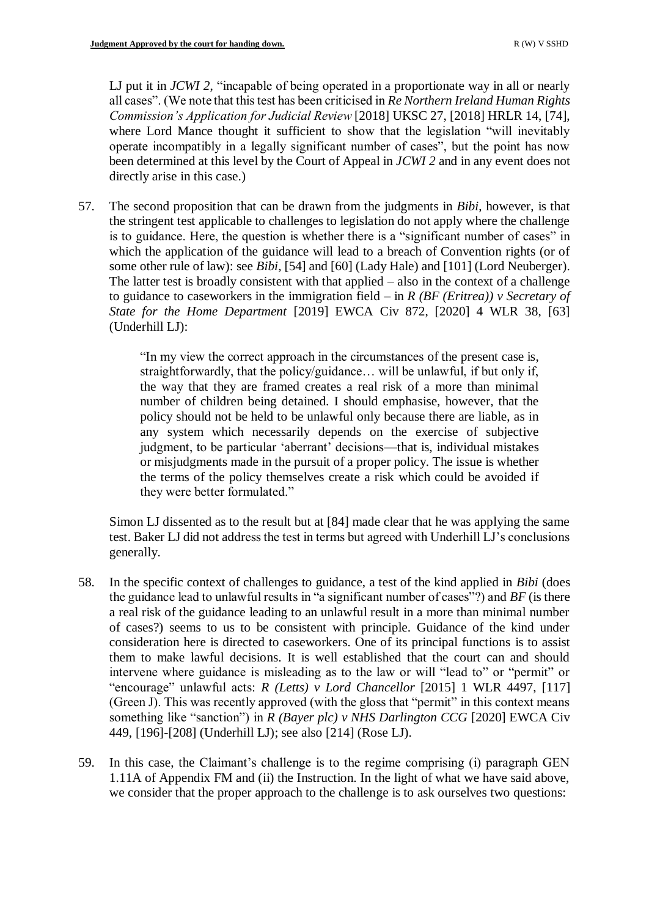LJ put it in *JCWI 2*, "incapable of being operated in a proportionate way in all or nearly all cases". (We note that this test has been criticised in *Re Northern Ireland Human Rights Commission's Application for Judicial Review* [2018] UKSC 27, [2018] HRLR 14, [74], where Lord Mance thought it sufficient to show that the legislation "will inevitably operate incompatibly in a legally significant number of cases", but the point has now been determined at this level by the Court of Appeal in *JCWI 2* and in any event does not directly arise in this case.)

57. The second proposition that can be drawn from the judgments in *Bibi*, however, is that the stringent test applicable to challenges to legislation do not apply where the challenge is to guidance. Here, the question is whether there is a "significant number of cases" in which the application of the guidance will lead to a breach of Convention rights (or of some other rule of law): see *Bibi*, [54] and [60] (Lady Hale) and [101] (Lord Neuberger). The latter test is broadly consistent with that applied – also in the context of a challenge to guidance to caseworkers in the immigration field – in *R (BF (Eritrea)) v Secretary of State for the Home Department* [2019] EWCA Civ 872, [2020] 4 WLR 38, [63] (Underhill LJ):

> "In my view the correct approach in the circumstances of the present case is, straightforwardly, that the policy/guidance… will be unlawful, if but only if, the way that they are framed creates a real risk of a more than minimal number of children being detained. I should emphasise, however, that the policy should not be held to be unlawful only because there are liable, as in any system which necessarily depends on the exercise of subjective judgment, to be particular 'aberrant' decisions—that is, individual mistakes or misjudgments made in the pursuit of a proper policy. The issue is whether the terms of the policy themselves create a risk which could be avoided if they were better formulated."

Simon LJ dissented as to the result but at [84] made clear that he was applying the same test. Baker LJ did not address the test in terms but agreed with Underhill LJ's conclusions generally.

- 58. In the specific context of challenges to guidance, a test of the kind applied in *Bibi* (does the guidance lead to unlawful results in "a significant number of cases"?) and *BF* (is there a real risk of the guidance leading to an unlawful result in a more than minimal number of cases?) seems to us to be consistent with principle. Guidance of the kind under consideration here is directed to caseworkers. One of its principal functions is to assist them to make lawful decisions. It is well established that the court can and should intervene where guidance is misleading as to the law or will "lead to" or "permit" or "encourage" unlawful acts: *R (Letts) v Lord Chancellor* [2015] 1 WLR 4497, [117] (Green J). This was recently approved (with the gloss that "permit" in this context means something like "sanction") in *R (Bayer plc) v NHS Darlington CCG* [2020] EWCA Civ 449, [196]-[208] (Underhill LJ); see also [214] (Rose LJ).
- 59. In this case, the Claimant's challenge is to the regime comprising (i) paragraph GEN 1.11A of Appendix FM and (ii) the Instruction. In the light of what we have said above, we consider that the proper approach to the challenge is to ask ourselves two questions: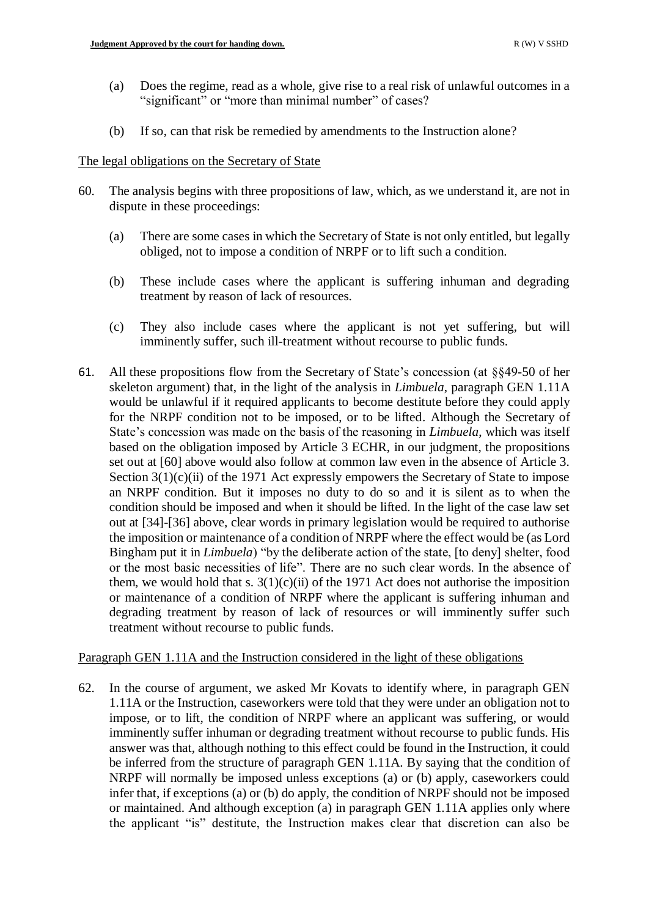- (a) Does the regime, read as a whole, give rise to a real risk of unlawful outcomes in a "significant" or "more than minimal number" of cases?
- (b) If so, can that risk be remedied by amendments to the Instruction alone?

## The legal obligations on the Secretary of State

- 60. The analysis begins with three propositions of law, which, as we understand it, are not in dispute in these proceedings:
	- (a) There are some cases in which the Secretary of State is not only entitled, but legally obliged, not to impose a condition of NRPF or to lift such a condition.
	- (b) These include cases where the applicant is suffering inhuman and degrading treatment by reason of lack of resources.
	- (c) They also include cases where the applicant is not yet suffering, but will imminently suffer, such ill-treatment without recourse to public funds.
- 61. All these propositions flow from the Secretary of State's concession (at §§49-50 of her skeleton argument) that, in the light of the analysis in *Limbuela*, paragraph GEN 1.11A would be unlawful if it required applicants to become destitute before they could apply for the NRPF condition not to be imposed, or to be lifted. Although the Secretary of State's concession was made on the basis of the reasoning in *Limbuela*, which was itself based on the obligation imposed by Article 3 ECHR, in our judgment, the propositions set out at [60] above would also follow at common law even in the absence of Article 3. Section 3(1)(c)(ii) of the 1971 Act expressly empowers the Secretary of State to impose an NRPF condition. But it imposes no duty to do so and it is silent as to when the condition should be imposed and when it should be lifted. In the light of the case law set out at [34]-[36] above, clear words in primary legislation would be required to authorise the imposition or maintenance of a condition of NRPF where the effect would be (as Lord Bingham put it in *Limbuela*) "by the deliberate action of the state, [to deny] shelter, food or the most basic necessities of life". There are no such clear words. In the absence of them, we would hold that s.  $3(1)(c)(ii)$  of the 1971 Act does not authorise the imposition or maintenance of a condition of NRPF where the applicant is suffering inhuman and degrading treatment by reason of lack of resources or will imminently suffer such treatment without recourse to public funds.

# Paragraph GEN 1.11A and the Instruction considered in the light of these obligations

62. In the course of argument, we asked Mr Kovats to identify where, in paragraph GEN 1.11A or the Instruction, caseworkers were told that they were under an obligation not to impose, or to lift, the condition of NRPF where an applicant was suffering, or would imminently suffer inhuman or degrading treatment without recourse to public funds. His answer was that, although nothing to this effect could be found in the Instruction, it could be inferred from the structure of paragraph GEN 1.11A. By saying that the condition of NRPF will normally be imposed unless exceptions (a) or (b) apply, caseworkers could infer that, if exceptions (a) or (b) do apply, the condition of NRPF should not be imposed or maintained. And although exception (a) in paragraph GEN 1.11A applies only where the applicant "is" destitute, the Instruction makes clear that discretion can also be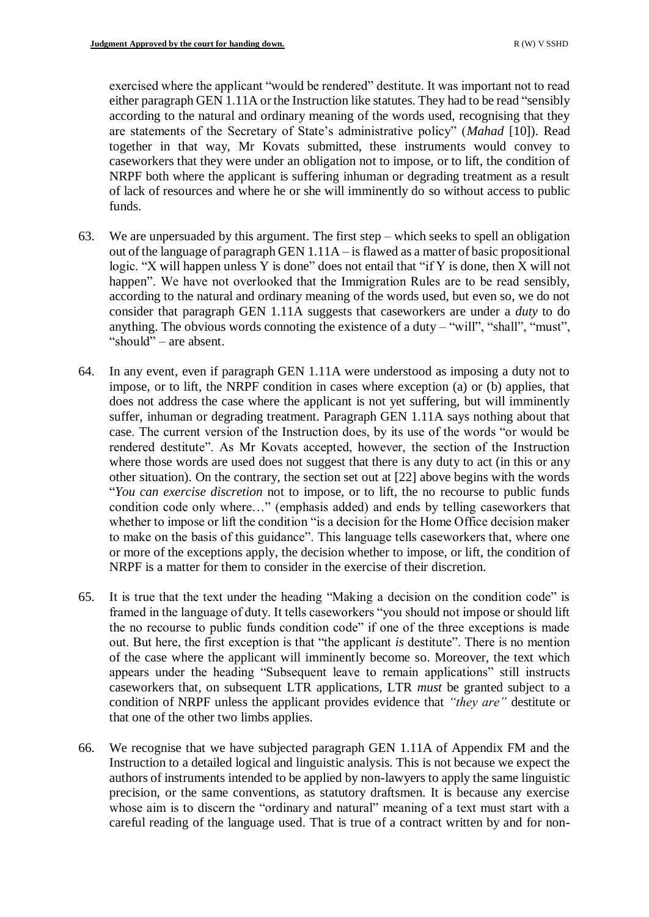exercised where the applicant "would be rendered" destitute. It was important not to read either paragraph GEN 1.11A or the Instruction like statutes. They had to be read "sensibly according to the natural and ordinary meaning of the words used, recognising that they are statements of the Secretary of State's administrative policy" (*Mahad* [10]). Read together in that way, Mr Kovats submitted, these instruments would convey to caseworkers that they were under an obligation not to impose, or to lift, the condition of NRPF both where the applicant is suffering inhuman or degrading treatment as a result of lack of resources and where he or she will imminently do so without access to public funds.

- 63. We are unpersuaded by this argument. The first step which seeks to spell an obligation out of the language of paragraph GEN 1.11A – is flawed as a matter of basic propositional logic. "X will happen unless Y is done" does not entail that "if Y is done, then X will not happen". We have not overlooked that the Immigration Rules are to be read sensibly, according to the natural and ordinary meaning of the words used, but even so, we do not consider that paragraph GEN 1.11A suggests that caseworkers are under a *duty* to do anything. The obvious words connoting the existence of a duty – "will", "shall", "must", "should" – are absent.
- 64. In any event, even if paragraph GEN 1.11A were understood as imposing a duty not to impose, or to lift, the NRPF condition in cases where exception (a) or (b) applies, that does not address the case where the applicant is not yet suffering, but will imminently suffer, inhuman or degrading treatment. Paragraph GEN 1.11A says nothing about that case. The current version of the Instruction does, by its use of the words "or would be rendered destitute". As Mr Kovats accepted, however, the section of the Instruction where those words are used does not suggest that there is any duty to act (in this or any other situation). On the contrary, the section set out at [22] above begins with the words "*You can exercise discretion* not to impose, or to lift, the no recourse to public funds condition code only where…" (emphasis added) and ends by telling caseworkers that whether to impose or lift the condition "is a decision for the Home Office decision maker to make on the basis of this guidance". This language tells caseworkers that, where one or more of the exceptions apply, the decision whether to impose, or lift, the condition of NRPF is a matter for them to consider in the exercise of their discretion.
- 65. It is true that the text under the heading "Making a decision on the condition code" is framed in the language of duty. It tells caseworkers "you should not impose or should lift the no recourse to public funds condition code" if one of the three exceptions is made out. But here, the first exception is that "the applicant *is* destitute". There is no mention of the case where the applicant will imminently become so. Moreover, the text which appears under the heading "Subsequent leave to remain applications" still instructs caseworkers that, on subsequent LTR applications, LTR *must* be granted subject to a condition of NRPF unless the applicant provides evidence that *"they are"* destitute or that one of the other two limbs applies.
- 66. We recognise that we have subjected paragraph GEN 1.11A of Appendix FM and the Instruction to a detailed logical and linguistic analysis. This is not because we expect the authors of instruments intended to be applied by non-lawyers to apply the same linguistic precision, or the same conventions, as statutory draftsmen. It is because any exercise whose aim is to discern the "ordinary and natural" meaning of a text must start with a careful reading of the language used. That is true of a contract written by and for non-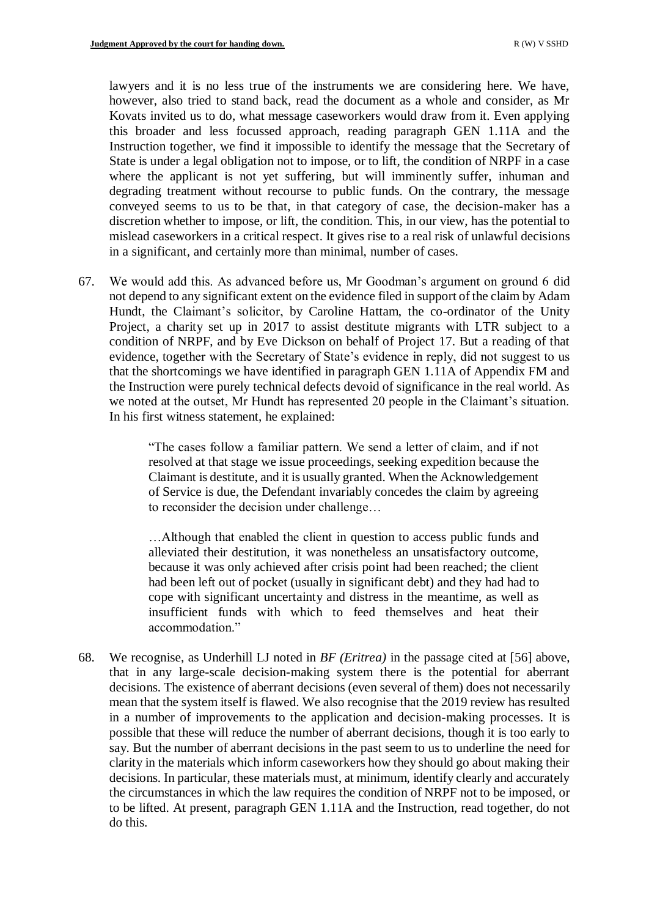lawyers and it is no less true of the instruments we are considering here. We have, however, also tried to stand back, read the document as a whole and consider, as Mr Kovats invited us to do, what message caseworkers would draw from it. Even applying this broader and less focussed approach, reading paragraph GEN 1.11A and the Instruction together, we find it impossible to identify the message that the Secretary of State is under a legal obligation not to impose, or to lift, the condition of NRPF in a case where the applicant is not yet suffering, but will imminently suffer, inhuman and degrading treatment without recourse to public funds. On the contrary, the message conveyed seems to us to be that, in that category of case, the decision-maker has a discretion whether to impose, or lift, the condition. This, in our view, has the potential to mislead caseworkers in a critical respect. It gives rise to a real risk of unlawful decisions in a significant, and certainly more than minimal, number of cases.

67. We would add this. As advanced before us, Mr Goodman's argument on ground 6 did not depend to any significant extent on the evidence filed in support of the claim by Adam Hundt, the Claimant's solicitor, by Caroline Hattam, the co-ordinator of the Unity Project, a charity set up in 2017 to assist destitute migrants with LTR subject to a condition of NRPF, and by Eve Dickson on behalf of Project 17. But a reading of that evidence, together with the Secretary of State's evidence in reply, did not suggest to us that the shortcomings we have identified in paragraph GEN 1.11A of Appendix FM and the Instruction were purely technical defects devoid of significance in the real world. As we noted at the outset, Mr Hundt has represented 20 people in the Claimant's situation. In his first witness statement, he explained:

> "The cases follow a familiar pattern. We send a letter of claim, and if not resolved at that stage we issue proceedings, seeking expedition because the Claimant is destitute, and it is usually granted. When the Acknowledgement of Service is due, the Defendant invariably concedes the claim by agreeing to reconsider the decision under challenge…

> …Although that enabled the client in question to access public funds and alleviated their destitution, it was nonetheless an unsatisfactory outcome, because it was only achieved after crisis point had been reached; the client had been left out of pocket (usually in significant debt) and they had had to cope with significant uncertainty and distress in the meantime, as well as insufficient funds with which to feed themselves and heat their accommodation."

68. We recognise, as Underhill LJ noted in *BF (Eritrea)* in the passage cited at [56] above, that in any large-scale decision-making system there is the potential for aberrant decisions. The existence of aberrant decisions (even several of them) does not necessarily mean that the system itself is flawed. We also recognise that the 2019 review has resulted in a number of improvements to the application and decision-making processes. It is possible that these will reduce the number of aberrant decisions, though it is too early to say. But the number of aberrant decisions in the past seem to us to underline the need for clarity in the materials which inform caseworkers how they should go about making their decisions. In particular, these materials must, at minimum, identify clearly and accurately the circumstances in which the law requires the condition of NRPF not to be imposed, or to be lifted. At present, paragraph GEN 1.11A and the Instruction, read together, do not do this.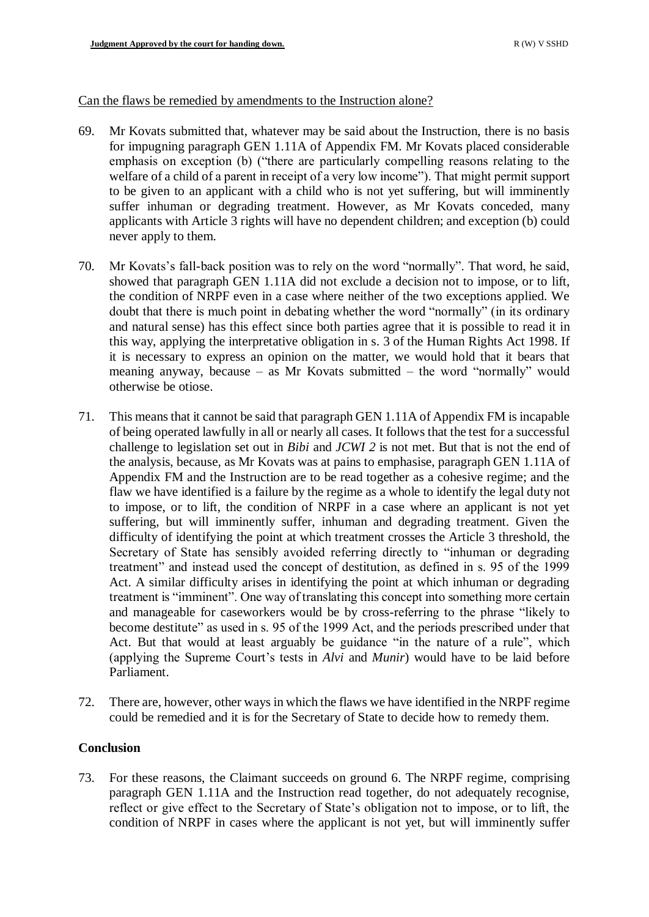### Can the flaws be remedied by amendments to the Instruction alone?

- 69. Mr Kovats submitted that, whatever may be said about the Instruction, there is no basis for impugning paragraph GEN 1.11A of Appendix FM. Mr Kovats placed considerable emphasis on exception (b) ("there are particularly compelling reasons relating to the welfare of a child of a parent in receipt of a very low income"). That might permit support to be given to an applicant with a child who is not yet suffering, but will imminently suffer inhuman or degrading treatment. However, as Mr Kovats conceded, many applicants with Article 3 rights will have no dependent children; and exception (b) could never apply to them.
- 70. Mr Kovats's fall-back position was to rely on the word "normally". That word, he said, showed that paragraph GEN 1.11A did not exclude a decision not to impose, or to lift, the condition of NRPF even in a case where neither of the two exceptions applied. We doubt that there is much point in debating whether the word "normally" (in its ordinary and natural sense) has this effect since both parties agree that it is possible to read it in this way, applying the interpretative obligation in s. 3 of the Human Rights Act 1998. If it is necessary to express an opinion on the matter, we would hold that it bears that meaning anyway, because – as Mr Kovats submitted – the word "normally" would otherwise be otiose.
- 71. This means that it cannot be said that paragraph GEN 1.11A of Appendix FM is incapable of being operated lawfully in all or nearly all cases. It follows that the test for a successful challenge to legislation set out in *Bibi* and *JCWI 2* is not met. But that is not the end of the analysis, because, as Mr Kovats was at pains to emphasise, paragraph GEN 1.11A of Appendix FM and the Instruction are to be read together as a cohesive regime; and the flaw we have identified is a failure by the regime as a whole to identify the legal duty not to impose, or to lift, the condition of NRPF in a case where an applicant is not yet suffering, but will imminently suffer, inhuman and degrading treatment. Given the difficulty of identifying the point at which treatment crosses the Article 3 threshold, the Secretary of State has sensibly avoided referring directly to "inhuman or degrading treatment" and instead used the concept of destitution, as defined in s. 95 of the 1999 Act. A similar difficulty arises in identifying the point at which inhuman or degrading treatment is "imminent". One way of translating this concept into something more certain and manageable for caseworkers would be by cross-referring to the phrase "likely to become destitute" as used in s. 95 of the 1999 Act, and the periods prescribed under that Act. But that would at least arguably be guidance "in the nature of a rule", which (applying the Supreme Court's tests in *Alvi* and *Munir*) would have to be laid before Parliament.
- 72. There are, however, other ways in which the flaws we have identified in the NRPF regime could be remedied and it is for the Secretary of State to decide how to remedy them.

# **Conclusion**

73. For these reasons, the Claimant succeeds on ground 6. The NRPF regime, comprising paragraph GEN 1.11A and the Instruction read together, do not adequately recognise, reflect or give effect to the Secretary of State's obligation not to impose, or to lift, the condition of NRPF in cases where the applicant is not yet, but will imminently suffer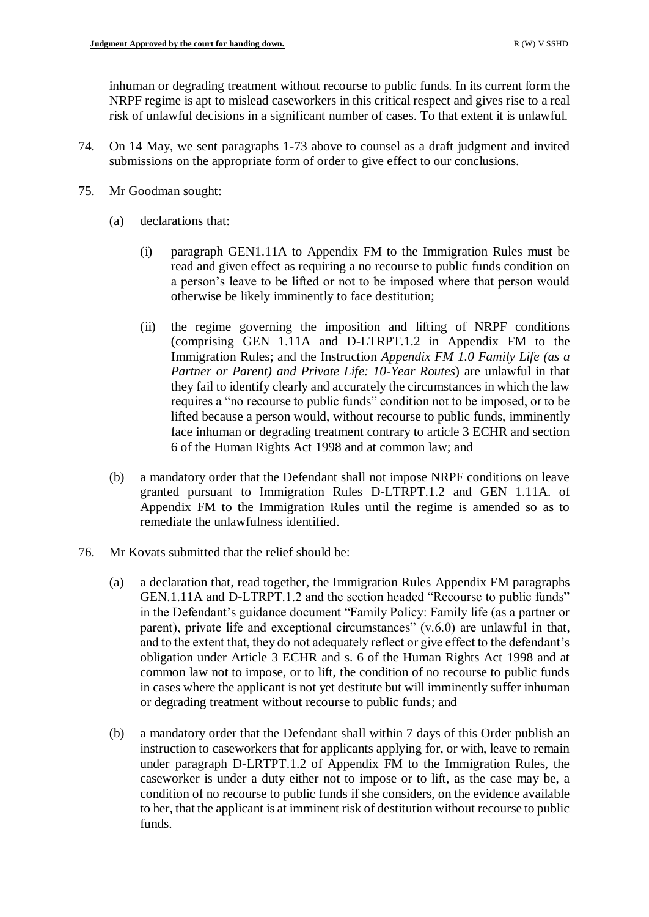inhuman or degrading treatment without recourse to public funds. In its current form the NRPF regime is apt to mislead caseworkers in this critical respect and gives rise to a real risk of unlawful decisions in a significant number of cases. To that extent it is unlawful.

- 74. On 14 May, we sent paragraphs 1-73 above to counsel as a draft judgment and invited submissions on the appropriate form of order to give effect to our conclusions.
- 75. Mr Goodman sought:
	- (a) declarations that:
		- (i) paragraph GEN1.11A to Appendix FM to the Immigration Rules must be read and given effect as requiring a no recourse to public funds condition on a person's leave to be lifted or not to be imposed where that person would otherwise be likely imminently to face destitution;
		- (ii) the regime governing the imposition and lifting of NRPF conditions (comprising GEN 1.11A and D-LTRPT.1.2 in Appendix FM to the Immigration Rules; and the Instruction *Appendix FM 1.0 Family Life (as a Partner or Parent) and Private Life: 10-Year Routes*) are unlawful in that they fail to identify clearly and accurately the circumstances in which the law requires a "no recourse to public funds" condition not to be imposed, or to be lifted because a person would, without recourse to public funds, imminently face inhuman or degrading treatment contrary to article 3 ECHR and section 6 of the Human Rights Act 1998 and at common law; and
	- (b) a mandatory order that the Defendant shall not impose NRPF conditions on leave granted pursuant to Immigration Rules D-LTRPT.1.2 and GEN 1.11A. of Appendix FM to the Immigration Rules until the regime is amended so as to remediate the unlawfulness identified.
- 76. Mr Kovats submitted that the relief should be:
	- (a) a declaration that, read together, the Immigration Rules Appendix FM paragraphs GEN.1.11A and D-LTRPT.1.2 and the section headed "Recourse to public funds" in the Defendant's guidance document "Family Policy: Family life (as a partner or parent), private life and exceptional circumstances"  $(v.6.0)$  are unlawful in that, and to the extent that, they do not adequately reflect or give effect to the defendant's obligation under Article 3 ECHR and s. 6 of the Human Rights Act 1998 and at common law not to impose, or to lift, the condition of no recourse to public funds in cases where the applicant is not yet destitute but will imminently suffer inhuman or degrading treatment without recourse to public funds; and
	- (b) a mandatory order that the Defendant shall within 7 days of this Order publish an instruction to caseworkers that for applicants applying for, or with, leave to remain under paragraph D-LRTPT.1.2 of Appendix FM to the Immigration Rules, the caseworker is under a duty either not to impose or to lift, as the case may be, a condition of no recourse to public funds if she considers, on the evidence available to her, that the applicant is at imminent risk of destitution without recourse to public funds.